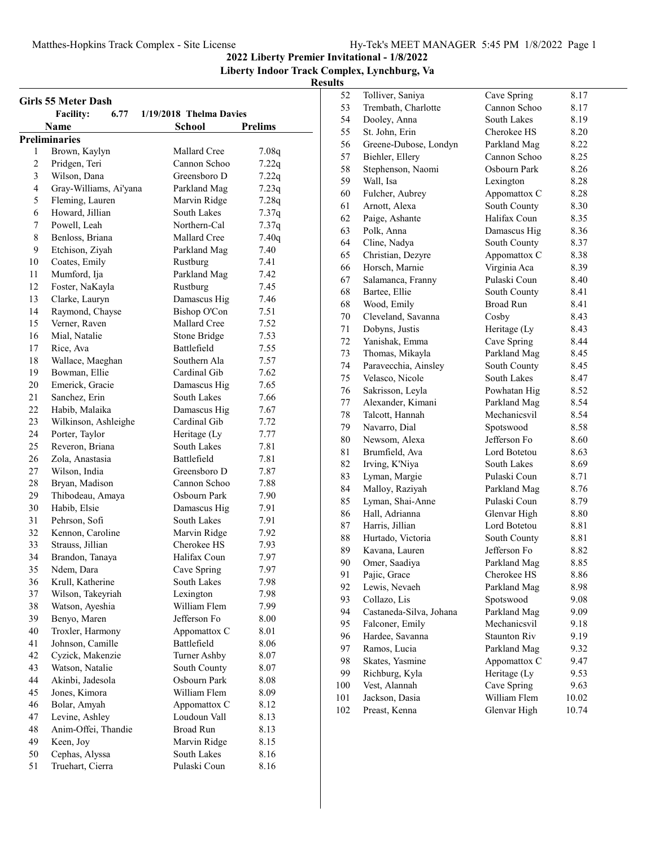## **2022 Liberty Premier Invitational - 1/8/2022**

**Liberty Indoor Track Complex, Lynchburg, Va**

| <b>Girls 55 Meter Dash</b> |                          |                         |                |
|----------------------------|--------------------------|-------------------------|----------------|
|                            | <b>Facility:</b><br>6.77 | 1/19/2018 Thelma Davies |                |
|                            | Name                     | <b>School</b>           | <b>Prelims</b> |
|                            | <b>Preliminaries</b>     |                         |                |
| 1                          | Brown, Kaylyn            | Mallard Cree            | 7.08q          |
| 2                          | Pridgen, Teri            | Cannon Schoo            | 7.22q          |
| 3                          | Wilson, Dana             | Greensboro D            | 7.22q          |
| $\overline{4}$             | Gray-Williams, Ai'yana   | Parkland Mag            | 7.23q          |
| 5                          | Fleming, Lauren          | Marvin Ridge            | 7.28q          |
| 6                          | Howard, Jillian          | South Lakes             | 7.37q          |
| 7                          | Powell, Leah             | Northern-Cal            | 7.37q          |
| 8                          | Benloss, Briana          | Mallard Cree            | 7.40q          |
| 9                          | Etchison, Ziyah          | Parkland Mag            | 7.40           |
| 10                         | Coates, Emily            | Rustburg                | 7.41           |
| 11                         | Mumford, Ija             | Parkland Mag            | 7.42           |
| 12                         | Foster, NaKayla          | Rustburg                | 7.45           |
| 13                         | Clarke, Lauryn           | Damascus Hig            | 7.46           |
| 14                         | Raymond, Chayse          | Bishop O'Con            | 7.51           |
| 15                         | Verner, Raven            | Mallard Cree            | 7.52           |
| 16                         | Mial, Natalie            | Stone Bridge            | 7.53           |
| 17                         | Rice, Ava                | Battlefield             | 7.55           |
| 18                         | Wallace, Maeghan         | Southern Ala            | 7.57           |
| 19                         | Bowman, Ellie            | Cardinal Gib            | 7.62           |
| 20                         | Emerick, Gracie          | Damascus Hig            | 7.65           |
| 21                         | Sanchez, Erin            | South Lakes             | 7.66           |
| 22                         | Habib, Malaika           | Damascus Hig            | 7.67           |
| 23                         | Wilkinson, Ashleighe     | Cardinal Gib            | 7.72           |
| 24                         | Porter, Taylor           | Heritage (Ly            | 7.77           |
| 25                         | Reveron, Briana          | South Lakes             | 7.81           |
| 26                         | Zola, Anastasia          | Battlefield             | 7.81           |
| 27                         | Wilson, India            | Greensboro D            | 7.87           |
| 28                         | Bryan, Madison           | Cannon Schoo            | 7.88           |
| 29                         | Thibodeau, Amaya         | Osbourn Park            | 7.90           |
| 30                         | Habib, Elsie             | Damascus Hig            | 7.91           |
| 31                         | Pehrson, Sofi            | South Lakes             | 7.91           |
| 32                         | Kennon, Caroline         | Marvin Ridge            | 7.92           |
| 33                         | Strauss, Jillian         | Cherokee HS             | 7.93           |
| 34                         | Brandon, Tanaya          | Halifax Coun            | 7.97           |
| 35                         | Ndem, Dara               | Cave Spring             | 7.97           |
| 36                         | Krull, Katherine         | South Lakes             | 7.98           |
| 37                         | Wilson, Takeyriah        | Lexington               | 7.98           |
| 38                         | Watson, Ayeshia          | William Flem            | 7.99           |
| 39                         | Benyo, Maren             | Jefferson Fo            | 8.00           |
| 40                         | Troxler, Harmony         | Appomattox C            | 8.01           |
| 41                         | Johnson, Camille         | Battlefield             | 8.06           |
| 42                         | Cyzick, Makenzie         | Turner Ashby            | 8.07           |
| 43                         | Watson, Natalie          | South County            | 8.07           |
| 44                         | Akinbi, Jadesola         | Osbourn Park            | 8.08           |
| 45                         | Jones, Kimora            | William Flem            | 8.09           |
| 46                         | Bolar, Amyah             | Appomattox C            | 8.12           |
| 47                         | Levine, Ashley           | Loudoun Vall            |                |
| 48                         |                          | <b>Broad Run</b>        | 8.13           |
|                            | Anim-Offei, Thandie      |                         | 8.13           |
| 49                         | Keen, Joy                | Marvin Ridge            | 8.15           |
| 50                         | Cephas, Alyssa           | South Lakes             | 8.16           |
| 51                         | Truehart, Cierra         | Pulaski Coun            | 8.16           |

| 52  | Tolliver, Saniya        |                             |       |
|-----|-------------------------|-----------------------------|-------|
| 53  | Trembath, Charlotte     | Cave Spring<br>Cannon Schoo | 8.17  |
| 54  | Dooley, Anna            | South Lakes                 | 8.17  |
| 55  |                         |                             | 8.19  |
|     | St. John, Erin          | Cherokee HS                 | 8.20  |
| 56  | Greene-Dubose, Londyn   | Parkland Mag                | 8.22  |
| 57  | Biehler, Ellery         | Cannon Schoo                | 8.25  |
| 58  | Stephenson, Naomi       | Osbourn Park                | 8.26  |
| 59  | Wall, Isa               | Lexington                   | 8.28  |
| 60  | Fulcher, Aubrey         | Appomattox C                | 8.28  |
| 61  | Arnott, Alexa           | South County                | 8.30  |
| 62  | Paige, Ashante          | Halifax Coun                | 8.35  |
| 63  | Polk, Anna              | Damascus Hig                | 8.36  |
| 64  | Cline, Nadya            | South County                | 8.37  |
| 65  | Christian, Dezyre       | Appomattox C                | 8.38  |
| 66  | Horsch, Marnie          | Virginia Aca                | 8.39  |
| 67  | Salamanca, Franny       | Pulaski Coun                | 8.40  |
| 68  | Bartee, Ellie           | South County                | 8.41  |
| 68  | Wood, Emily             | <b>Broad Run</b>            | 8.41  |
| 70  | Cleveland, Savanna      | Cosby                       | 8.43  |
| 71  | Dobyns, Justis          | Heritage (Ly                | 8.43  |
| 72  | Yanishak, Emma          | Cave Spring                 | 8.44  |
| 73  | Thomas, Mikayla         | Parkland Mag                | 8.45  |
| 74  | Paravecchia, Ainsley    | South County                | 8.45  |
| 75  | Velasco, Nicole         | <b>South Lakes</b>          | 8.47  |
| 76  | Sakrisson, Leyla        | Powhatan Hig                | 8.52  |
| 77  | Alexander, Kimani       | Parkland Mag                | 8.54  |
| 78  | Talcott, Hannah         | Mechanicsvil                | 8.54  |
| 79  | Navarro, Dial           | Spotswood                   | 8.58  |
| 80  | Newsom, Alexa           | Jefferson Fo                | 8.60  |
| 81  | Brumfield, Ava          | Lord Botetou                | 8.63  |
| 82  | Irving, K'Niya          | South Lakes                 | 8.69  |
| 83  | Lyman, Margie           | Pulaski Coun                | 8.71  |
| 84  | Malloy, Raziyah         | Parkland Mag                | 8.76  |
| 85  | Lyman, Shai-Anne        | Pulaski Coun                | 8.79  |
| 86  | Hall, Adrianna          | Glenvar High                | 8.80  |
| 87  | Harris, Jillian         | Lord Botetou                | 8.81  |
| 88  | Hurtado, Victoria       | South County                | 8.81  |
| 89  | Kavana, Lauren          | Jefferson Fo                | 8.82  |
| 90  | Omer, Saadiya           | Parkland Mag                | 8.85  |
| 91  | Pajic, Grace            | Cherokee HS                 | 8.86  |
| 92  | Lewis, Nevaeh           | Parkland Mag                | 8.98  |
| 93  | Collazo, Lis            | Spotswood                   | 9.08  |
| 94  | Castaneda-Silva, Johana | Parkland Mag                | 9.09  |
| 95  | Falconer, Emily         | Mechanicsvil                | 9.18  |
| 96  | Hardee, Savanna         | Staunton Riv                | 9.19  |
| 97  | Ramos, Lucia            | Parkland Mag                | 9.32  |
| 98  | Skates, Yasmine         | Appomattox C                | 9.47  |
| 99  | Richburg, Kyla          | Heritage (Ly                | 9.53  |
| 100 | Vest, Alannah           | Cave Spring                 | 9.63  |
| 101 | Jackson, Dasia          | William Flem                | 10.02 |
| 102 | Preast, Kenna           | Glenvar High                | 10.74 |
|     |                         |                             |       |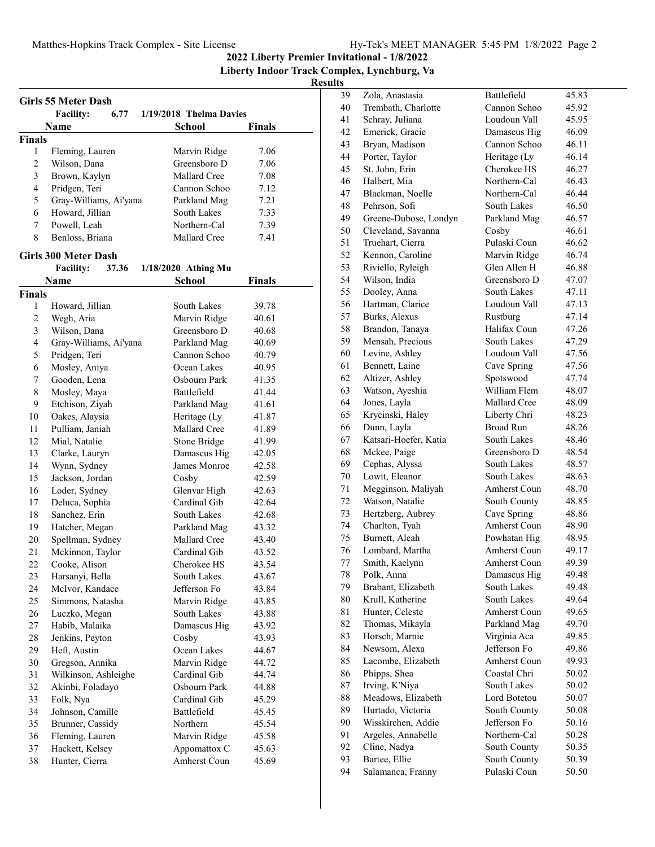**2022 Liberty Premier Invitational - 1/8/2022**

**Liberty Indoor Track Complex, Lynchburg, Va**

|                | <b>Girls 55 Meter Dash</b> |                              |        |
|----------------|----------------------------|------------------------------|--------|
|                | <b>Facility:</b><br>6.77   | 1/19/2018 Thelma Davies      |        |
|                | Name                       | <b>School</b>                | Finals |
| <b>Finals</b>  |                            |                              |        |
| 1              | Fleming, Lauren            | Marvin Ridge                 | 7.06   |
| $\overline{c}$ | Wilson, Dana               | Greensboro D                 | 7.06   |
| 3              | Brown, Kaylyn              | Mallard Cree                 | 7.08   |
| 4              | Pridgen, Teri              | Cannon Schoo                 | 7.12   |
| 5              | Gray-Williams, Ai'yana     | Parkland Mag                 | 7.21   |
| 6              | Howard, Jillian            | South Lakes                  | 7.33   |
| 7              | Powell, Leah               | Northern-Cal                 | 7.39   |
| 8              | Benloss, Briana            | Mallard Cree                 | 7.41   |
|                | Girls 300 Meter Dash       |                              |        |
|                | <b>Facility:</b><br>37.36  | 1/18/2020 Athing Mu          |        |
|                | Name                       | <b>School</b>                | Finals |
| <b>Finals</b>  |                            |                              |        |
| 1              | Howard, Jillian            | South Lakes                  | 39.78  |
| 2              | Wegh, Aria                 | Marvin Ridge                 | 40.61  |
| 3              | Wilson, Dana               | Greensboro D                 | 40.68  |
| 4              | Gray-Williams, Ai'yana     | Parkland Mag                 | 40.69  |
| 5              | Pridgen, Teri              | Cannon Schoo                 | 40.79  |
| 6              | Mosley, Aniya              | Ocean Lakes                  | 40.95  |
| 7              | Gooden, Lena               | Osbourn Park                 | 41.35  |
| 8              | Mosley, Maya               | Battlefield                  | 41.44  |
| 9              | Etchison, Ziyah            | Parkland Mag                 | 41.61  |
| 10             | Oakes, Alaysia             | Heritage (Ly                 | 41.87  |
| 11             | Pulliam, Janiah            | Mallard Cree                 | 41.89  |
| 12             | Mial, Natalie              |                              | 41.99  |
| 13             |                            | Stone Bridge                 |        |
|                | Clarke, Lauryn             | Damascus Hig                 | 42.05  |
| 14             | Wynn, Sydney               | James Monroe                 | 42.58  |
| 15             | Jackson, Jordan            | Cosby                        | 42.59  |
| 16             | Loder, Sydney              | Glenvar High<br>Cardinal Gib | 42.63  |
| 17             | Deluca, Sophia             |                              | 42.64  |
| 18             | Sanchez, Erin              | South Lakes                  | 42.68  |
| 19             | Hatcher, Megan             | Parkland Mag                 | 43.32  |
| 20             | Spellman, Sydney           | Mallard Cree                 | 43.40  |
| 21             | Mckinnon, Taylor           | Cardinal Gib                 | 43.52  |
| 22             | Cooke, Alison              | Cherokee HS                  | 43.54  |
| 23             | Harsanyi, Bella            | South Lakes                  | 43.67  |
| 24             | McIvor, Kandace            | Jefferson Fo                 | 43.84  |
| 25             | Simmons, Natasha           | Marvin Ridge                 | 43.85  |
| 26             | Luczko, Megan              | South Lakes                  | 43.88  |
| 27             | Habib, Malaika             | Damascus Hig                 | 43.92  |
| 28             | Jenkins, Peyton            | Cosby                        | 43.93  |
| 29             | Heft, Austin               | Ocean Lakes                  | 44.67  |
| 30             | Gregson, Annika            | Marvin Ridge                 | 44.72  |
| 31             | Wilkinson, Ashleighe       | Cardinal Gib                 | 44.74  |
| 32             | Akinbi, Foladayo           | Osbourn Park                 | 44.88  |
| 33             | Folk, Nya                  | Cardinal Gib                 | 45.29  |
| 34             | Johnson, Camille           | Battlefield                  | 45.45  |
| 35             | Brunner, Cassidy           | Northern                     | 45.54  |
| 36             | Fleming, Lauren            | Marvin Ridge                 | 45.58  |
| 37             | Hackett, Kelsey            | Appomattox C                 | 45.63  |
| 38             | Hunter, Cierra             | Amherst Coun                 | 45.69  |
|                |                            |                              |        |

| 40<br>41<br>42<br>43<br>44<br>45<br>46 | Trembath, Charlotte<br>Schray, Juliana | Cannon Schoo                 |                |
|----------------------------------------|----------------------------------------|------------------------------|----------------|
|                                        |                                        |                              | 45.92          |
|                                        |                                        | Loudoun Vall                 | 45.95          |
|                                        | Emerick, Gracie                        | Damascus Hig                 | 46.09          |
|                                        | Bryan, Madison                         | Cannon Schoo                 | 46.11          |
|                                        | Porter, Taylor                         | Heritage (Ly                 | 46.14          |
|                                        | St. John, Erin                         | Cherokee HS                  | 46.27          |
|                                        | Halbert, Mia                           | Northern-Cal                 | 46.43          |
| 47                                     | Blackman, Noelle                       | Northern-Cal                 | 46.44          |
| 48                                     | Pehrson, Sofi                          | South Lakes                  | 46.50          |
| 49                                     | Greene-Dubose, Londyn                  | Parkland Mag                 | 46.57          |
| 50                                     | Cleveland, Savanna                     | Cosby                        | 46.61          |
| 51                                     | Truehart, Cierra                       | Pulaski Coun                 | 46.62          |
| 52                                     | Kennon, Caroline                       | Marvin Ridge                 | 46.74          |
| 53                                     | Riviello, Ryleigh                      | Glen Allen H                 | 46.88          |
| 54                                     | Wilson, India                          | Greensboro D                 | 47.07          |
| 55                                     | Dooley, Anna                           | South Lakes                  | 47.11          |
| 56                                     | Hartman, Clarice                       | Loudoun Vall                 | 47.13          |
| 57                                     | Burks, Alexus                          | Rustburg                     | 47.14          |
| 58                                     | Brandon, Tanaya                        | Halifax Coun                 | 47.26          |
| 59                                     | Mensah, Precious                       | South Lakes                  | 47.29          |
| 60                                     | Levine, Ashley                         | Loudoun Vall                 | 47.56          |
| 61                                     | Bennett, Laine                         | Cave Spring                  | 47.56          |
| 62                                     | Altizer, Ashley                        | Spotswood                    | 47.74          |
| 63                                     | Watson, Ayeshia                        | William Flem                 | 48.07          |
| 64                                     | Jones, Layla                           | Mallard Cree                 | 48.09          |
| 65                                     | Krycinski, Haley                       | Liberty Chri                 | 48.23          |
| 66                                     | Dunn, Layla                            | <b>Broad Run</b>             | 48.26          |
| 67                                     | Katsari-Hoefer, Katia                  | South Lakes                  | 48.46          |
| 68                                     | Mckee, Paige                           | Greensboro D                 | 48.54          |
| 69                                     | Cephas, Alyssa                         | South Lakes                  | 48.57          |
| 70                                     | Lowit, Eleanor                         | South Lakes                  | 48.63          |
| 71                                     | Megginson, Maliyah                     | Amherst Coun                 | 48.70          |
| 72                                     | Watson, Natalie                        | South County                 | 48.85          |
| 73                                     | Hertzberg, Aubrey                      | Cave Spring                  | 48.86          |
|                                        | Charlton, Tyah                         | Amherst Coun                 | 48.90          |
| 74                                     |                                        |                              |                |
| 75                                     |                                        |                              |                |
| 76                                     | Burnett, Aleah                         | Powhatan Hig<br>Amherst Coun | 48.95          |
|                                        | Lombard, Martha                        | Amherst Coun                 | 49.17          |
| 77                                     | Smith, Kaelynn                         |                              | 49.39          |
| 78<br>79                               | Polk, Anna                             | Damascus Hig<br>South Lakes  | 49.48          |
|                                        | Brabant, Elizabeth                     | South Lakes                  | 49.48          |
| 80<br>81                               | Krull, Katherine                       | Amherst Coun                 | 49.64          |
|                                        | Hunter, Celeste                        |                              | 49.65          |
| 82                                     | Thomas, Mikayla                        | Parkland Mag                 | 49.70          |
| 83                                     | Horsch, Marnie                         | Virginia Aca<br>Jefferson Fo | 49.85          |
| 84                                     | Newsom, Alexa                          | Amherst Coun                 | 49.86          |
| 85<br>86                               | Lacombe, Elizabeth                     | Coastal Chri                 | 49.93          |
| 87                                     | Phipps, Shea<br>Irving, K'Niya         | South Lakes                  | 50.02<br>50.02 |
| 88                                     | Meadows, Elizabeth                     | Lord Botetou                 | 50.07          |
| 89                                     | Hurtado, Victoria                      | South County                 | 50.08          |
| 90                                     | Wisskirchen, Addie                     | Jefferson Fo                 | 50.16          |
| 91                                     | Argeles, Annabelle                     | Northern-Cal                 | 50.28          |
| 92                                     | Cline, Nadya                           | South County                 | 50.35          |
| 93                                     | Bartee, Ellie                          | South County                 | 50.39          |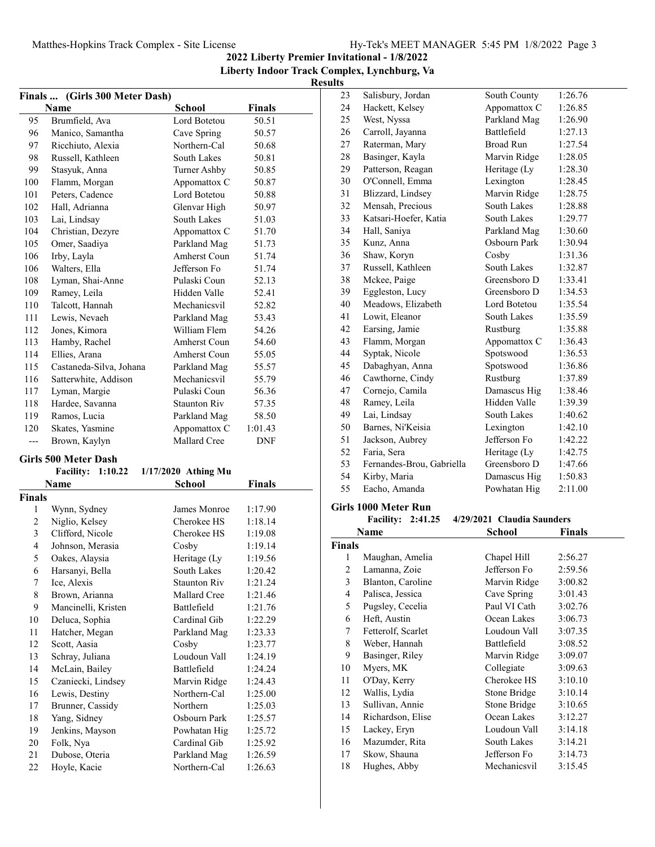**2022 Liberty Premier Invitational - 1/8/2022**

## **Liberty Indoor Track Complex, Lynchburg, Va Results**

|       | Finals  (Girls 300 Meter Dash) |                     |            |  |
|-------|--------------------------------|---------------------|------------|--|
|       | Name                           | School              | Finals     |  |
| 95    | Brumfield, Ava                 | Lord Botetou        | 50.51      |  |
| 96    | Manico, Samantha               | Cave Spring         | 50.57      |  |
| 97    | Ricchiuto, Alexia              | Northern-Cal        | 50.68      |  |
| 98    | Russell, Kathleen              | South Lakes         | 50.81      |  |
| 99    | Stasyuk, Anna                  | Turner Ashby        | 50.85      |  |
| 100   | Flamm, Morgan                  | Appomattox C        | 50.87      |  |
| 101   | Peters, Cadence                | Lord Botetou        | 50.88      |  |
| 102   | Hall, Adrianna                 | Glenvar High        | 50.97      |  |
| 103   | Lai, Lindsay                   | South Lakes         | 51.03      |  |
| 104   | Christian, Dezyre              | Appomattox C        | 51.70      |  |
| 105   | Omer, Saadiya                  | Parkland Mag        | 51.73      |  |
| 106   | Irby, Layla                    | Amherst Coun        | 51.74      |  |
| 106   | Walters, Ella                  | Jefferson Fo        | 51.74      |  |
| 108   | Lyman, Shai-Anne               | Pulaski Coun        | 52.13      |  |
| 109   | Ramey, Leila                   | Hidden Valle        | 52.41      |  |
| 110   | Talcott, Hannah                | Mechanicsvil        | 52.82      |  |
| 111   | Lewis, Nevaeh                  | Parkland Mag        | 53.43      |  |
| 112   | Jones, Kimora                  | William Flem        | 54.26      |  |
| 113   | Hamby, Rachel                  | Amherst Coun        | 54.60      |  |
| 114   | Ellies, Arana                  | Amherst Coun        | 55.05      |  |
| 115   | Castaneda-Silva, Johana        | Parkland Mag        | 55.57      |  |
| 116   | Satterwhite, Addison           | Mechanicsvil        | 55.79      |  |
| 117   | Lyman, Margie                  | Pulaski Coun        | 56.36      |  |
| 118   | Hardee, Savanna                | <b>Staunton Riv</b> | 57.35      |  |
| 119   | Ramos, Lucia                   | Parkland Mag        | 58.50      |  |
| 120   | Skates, Yasmine                | Appomattox C        | 1:01.43    |  |
| $---$ | Brown, Kaylyn                  | Mallard Cree        | <b>DNF</b> |  |

## **Girls 500 Meter Dash**

|        | <b>Facility:</b><br>1:10.22 | $1/17/2020$ Athing Mu |         |  |
|--------|-----------------------------|-----------------------|---------|--|
|        | Name                        | <b>School</b>         | Finals  |  |
| Finals |                             |                       |         |  |
| 1      | Wynn, Sydney                | James Monroe          | 1:17.90 |  |
| 2      | Niglio, Kelsey              | Cherokee HS           | 1:18.14 |  |
| 3      | Clifford, Nicole            | Cherokee HS           | 1:19.08 |  |
| 4      | Johnson, Merasia            | Cosby                 | 1:19.14 |  |
| 5      | Oakes, Alaysia              | Heritage (Ly          | 1:19.56 |  |
| 6      | Harsanyi, Bella             | South Lakes           | 1:20.42 |  |
| 7      | Ice, Alexis                 | Staunton Riv          | 1:21.24 |  |
| 8      | Brown, Arianna              | Mallard Cree          | 1:21.46 |  |
| 9      | Mancinelli, Kristen         | <b>Battlefield</b>    | 1:21.76 |  |
| 10     | Deluca, Sophia              | Cardinal Gib          | 1:22.29 |  |
| 11     | Hatcher, Megan              | Parkland Mag          | 1:23.33 |  |
| 12     | Scott, Aasia                | Cosby                 | 1:23.77 |  |
| 13     | Schray, Juliana             | Loudoun Vall          | 1:24.19 |  |
| 14     | McLain, Bailey              | <b>Battlefield</b>    | 1:24.24 |  |
| 15     | Czaniecki, Lindsey          | Marvin Ridge          | 1:24.43 |  |
| 16     | Lewis, Destiny              | Northern-Cal          | 1:25.00 |  |
| 17     | Brunner, Cassidy            | Northern              | 1:25.03 |  |
| 18     | Yang, Sidney                | Osbourn Park          | 1:25.57 |  |
| 19     | Jenkins, Mayson             | Powhatan Hig          | 1:25.72 |  |
| 20     | Folk, Nya                   | Cardinal Gib          | 1:25.92 |  |
| 21     | Dubose, Oteria              | Parkland Mag          | 1:26.59 |  |
| 22     | Hoyle, Kacie                | Northern-Cal          | 1:26.63 |  |
|        |                             |                       |         |  |

| 23 | Salisbury, Jordan         | South County     | 1:26.76 |
|----|---------------------------|------------------|---------|
| 24 | Hackett, Kelsey           | Appomattox C     | 1:26.85 |
| 25 | West, Nyssa               | Parkland Mag     | 1:26.90 |
| 26 | Carroll, Jayanna          | Battlefield      | 1:27.13 |
| 27 | Raterman, Mary            | <b>Broad Run</b> | 1:27.54 |
| 28 | Basinger, Kayla           | Marvin Ridge     | 1:28.05 |
| 29 | Patterson, Reagan         | Heritage (Ly     | 1:28.30 |
| 30 | O'Connell, Emma           | Lexington        | 1:28.45 |
| 31 | Blizzard, Lindsey         | Marvin Ridge     | 1:28.75 |
| 32 | Mensah, Precious          | South Lakes      | 1:28.88 |
| 33 | Katsari-Hoefer, Katia     | South Lakes      | 1:29.77 |
| 34 | Hall, Saniya              | Parkland Mag     | 1:30.60 |
| 35 | Kunz, Anna                | Osbourn Park     | 1:30.94 |
| 36 | Shaw, Koryn               | Cosby            | 1:31.36 |
| 37 | Russell, Kathleen         | South Lakes      | 1:32.87 |
| 38 | Mckee, Paige              | Greensboro D     | 1:33.41 |
| 39 | Eggleston, Lucy           | Greensboro D     | 1:34.53 |
| 40 | Meadows, Elizabeth        | Lord Botetou     | 1:35.54 |
| 41 | Lowit, Eleanor            | South Lakes      | 1:35.59 |
| 42 | Earsing, Jamie            | Rustburg         | 1:35.88 |
| 43 | Flamm, Morgan             | Appomattox C     | 1:36.43 |
| 44 | Syptak, Nicole            | Spotswood        | 1:36.53 |
| 45 | Dabaghyan, Anna           | Spotswood        | 1:36.86 |
| 46 | Cawthorne, Cindy          | Rustburg         | 1:37.89 |
| 47 | Cornejo, Camila           | Damascus Hig     | 1:38.46 |
| 48 | Ramey, Leila              | Hidden Valle     | 1:39.39 |
| 49 | Lai, Lindsay              | South Lakes      | 1:40.62 |
| 50 | Barnes, Ni'Keisia         | Lexington        | 1:42.10 |
| 51 | Jackson, Aubrey           | Jefferson Fo     | 1:42.22 |
| 52 | Faria, Sera               | Heritage (Ly     | 1:42.75 |
| 53 | Fernandes-Brou, Gabriella | Greensboro D     | 1:47.66 |
| 54 | Kirby, Maria              | Damascus Hig     | 1:50.83 |
| 55 | Eacho, Amanda             | Powhatan Hig     | 2:11.00 |
|    |                           |                  |         |

## **Girls 1000 Meter Run**

|               | <b>Facility:</b><br>2:41.25 | 4/29/2021 Claudia Saunders |         |
|---------------|-----------------------------|----------------------------|---------|
|               | Name                        | School                     | Finals  |
| <b>Finals</b> |                             |                            |         |
| 1             | Maughan, Amelia             | Chapel Hill                | 2:56.27 |
| 2             | Lamanna, Zoie               | Jefferson Fo               | 2:59.56 |
| 3             | Blanton, Caroline           | Marvin Ridge               | 3:00.82 |
| 4             | Palisca, Jessica            | Cave Spring                | 3:01.43 |
| 5             | Pugsley, Cecelia            | Paul VI Cath               | 3:02.76 |
| 6             | Heft, Austin                | Ocean Lakes                | 3:06.73 |
| 7             | Fetterolf, Scarlet          | Loudoun Vall               | 3:07.35 |
| 8             | Weber, Hannah               | Battlefield                | 3:08.52 |
| 9             | Basinger, Riley             | Marvin Ridge               | 3:09.07 |
| 10            | Myers, MK                   | Collegiate                 | 3:09.63 |
| 11            | O'Day, Kerry                | Cherokee HS                | 3:10.10 |
| 12            | Wallis, Lydia               | Stone Bridge               | 3:10.14 |
| 13            | Sullivan, Annie             | Stone Bridge               | 3:10.65 |
| 14            | Richardson, Elise           | Ocean Lakes                | 3:12.27 |
| 15            | Lackey, Eryn                | Loudoun Vall               | 3:14.18 |
| 16            | Mazumder, Rita              | South Lakes                | 3:14.21 |
| 17            | Skow, Shauna                | Jefferson Fo               | 3:14.73 |
| 18            | Hughes, Abby                | Mechanicsvil               | 3:15.45 |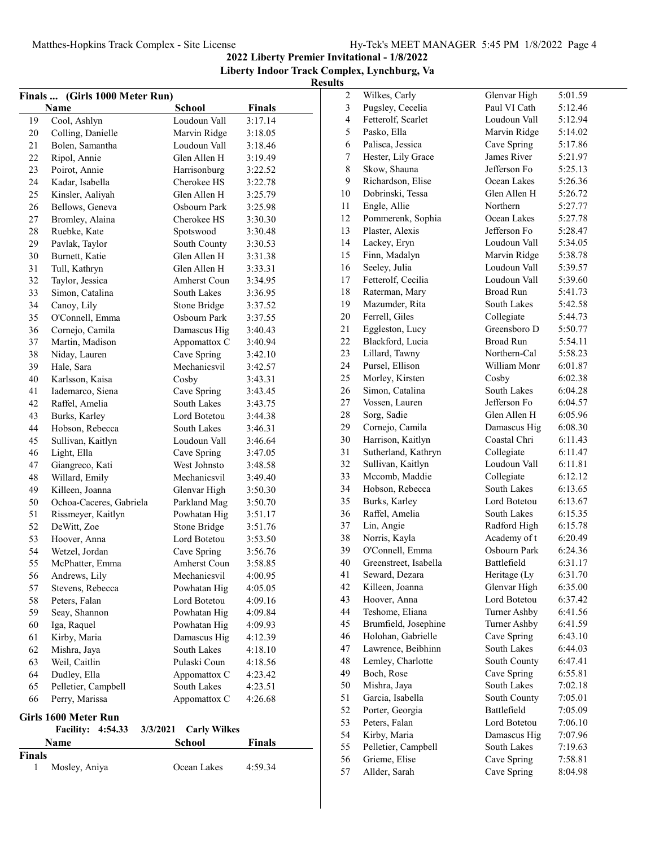**2022 Liberty Premier Invitational - 1/8/2022 Liberty Indoor Track Complex, Lynchburg, Va**

# **Results**<sub>2</sub>

|               | Finals  (Girls 1000 Meter Run)          |                             |               |
|---------------|-----------------------------------------|-----------------------------|---------------|
|               | Name                                    | <b>School</b>               | <b>Finals</b> |
| 19            | Cool, Ashlyn                            | Loudoun Vall                | 3:17.14       |
| 20            | Colling, Danielle                       | Marvin Ridge                | 3:18.05       |
| 21            | Bolen, Samantha                         | Loudoun Vall                | 3:18.46       |
| 22            | Ripol, Annie                            | Glen Allen H                | 3:19.49       |
| 23            | Poirot, Annie                           | Harrisonburg                | 3:22.52       |
| 24            | Kadar, Isabella                         | Cherokee HS                 | 3:22.78       |
| 25            | Kinsler, Aaliyah                        | Glen Allen H                | 3:25.79       |
| 26            | Bellows, Geneva                         | Osbourn Park                | 3:25.98       |
| 27            | Bromley, Alaina                         | Cherokee HS                 | 3:30.30       |
| 28            | Ruebke, Kate                            | Spotswood                   | 3:30.48       |
| 29            | Pavlak, Taylor                          | South County                | 3:30.53       |
| 30            | Burnett, Katie                          | Glen Allen H                | 3:31.38       |
| 31            | Tull, Kathryn                           | Glen Allen H                | 3:33.31       |
| 32            | Taylor, Jessica                         | Amherst Coun                | 3:34.95       |
| 33            | Simon, Catalina                         | South Lakes                 | 3:36.95       |
| 34            | Canoy, Lily                             | Stone Bridge                | 3:37.52       |
| 35            | O'Connell, Emma                         | Osbourn Park                | 3:37.55       |
| 36            | Cornejo, Camila                         | Damascus Hig                | 3:40.43       |
| 37            | Martin, Madison                         |                             | 3:40.94       |
| 38            | Niday, Lauren                           | Appomattox C<br>Cave Spring | 3:42.10       |
| 39            |                                         | Mechanicsvil                |               |
| 40            | Hale, Sara                              |                             | 3:42.57       |
|               | Karlsson, Kaisa<br>Iademarco, Siena     | Cosby                       | 3:43.31       |
| 41            |                                         | Cave Spring                 | 3:43.45       |
| 42            | Raffel, Amelia                          | South Lakes                 | 3:43.75       |
| 43            | Burks, Karley                           | Lord Botetou                | 3:44.38       |
| 44            | Hobson, Rebecca                         | South Lakes                 | 3:46.31       |
| 45            | Sullivan, Kaitlyn                       | Loudoun Vall                | 3:46.64       |
| 46            | Light, Ella                             | Cave Spring                 | 3:47.05       |
| 47            | Giangreco, Kati                         | West Johnsto                | 3:48.58       |
| 48            | Willard, Emily                          | Mechanicsvil                | 3:49.40       |
| 49            | Killeen, Joanna                         | Glenvar High                | 3:50.30       |
| 50            | Ochoa-Caceres, Gabriela                 | Parkland Mag                | 3:50.70       |
| 51            | Rissmeyer, Kaitlyn                      | Powhatan Hig                | 3:51.17       |
| 52            | DeWitt, Zoe                             | Stone Bridge                | 3:51.76       |
| 53            | Hoover, Anna                            | Lord Botetou                | 3:53.50       |
| 54            | Wetzel, Jordan                          | Cave Spring                 | 3:56.76       |
| 55            | McPhatter, Emma                         | Amherst Coun                | 3:58.85       |
| 56            | Andrews, Lily                           | Mechanicsvil                | 4:00.95       |
| 57            | Stevens, Rebecca                        | Powhatan Hig                | 4:05.05       |
| 58            | Peters, Falan                           | Lord Botetou                | 4:09.16       |
| 59            | Seay, Shannon                           | Powhatan Hig                | 4:09.84       |
| 60            | Iga, Raquel                             | Powhatan Hig                | 4:09.93       |
| 61            | Kirby, Maria                            | Damascus Hig                | 4:12.39       |
| 62            | Mishra, Jaya                            | South Lakes                 | 4:18.10       |
| 63            | Weil, Caitlin                           | Pulaski Coun                | 4:18.56       |
| 64            | Dudley, Ella                            | Appomattox C                | 4:23.42       |
| 65            | Pelletier, Campbell                     | South Lakes                 | 4:23.51       |
| 66            | Perry, Marissa                          | Appomattox C                | 4:26.68       |
|               | Girls 1600 Meter Run                    |                             |               |
|               | <b>Facility:</b><br>4:54.33<br>3/3/2021 | <b>Carly Wilkes</b>         |               |
|               | Name                                    | School                      | <b>Finals</b> |
| <b>Finals</b> |                                         |                             |               |
| 1             | Mosley, Aniya                           | Ocean Lakes                 | 4:59.34       |

| $\boldsymbol{2}$ | Wilkes, Carly         | Glenvar High       | 5:01.59 |
|------------------|-----------------------|--------------------|---------|
| $\mathfrak{Z}$   | Pugsley, Cecelia      | Paul VI Cath       | 5:12.46 |
| $\overline{4}$   | Fetterolf, Scarlet    | Loudoun Vall       | 5:12.94 |
| 5                | Pasko, Ella           | Marvin Ridge       | 5:14.02 |
| 6                | Palisca, Jessica      | Cave Spring        | 5:17.86 |
| $\boldsymbol{7}$ | Hester, Lily Grace    | James River        | 5:21.97 |
| 8                | Skow, Shauna          | Jefferson Fo       | 5:25.13 |
| 9                | Richardson, Elise     | Ocean Lakes        | 5:26.36 |
| 10               | Dobrinski, Tessa      | Glen Allen H       | 5:26.72 |
| 11               | Engle, Allie          | Northern           | 5:27.77 |
| 12               | Pommerenk, Sophia     | Ocean Lakes        | 5:27.78 |
| 13               | Plaster, Alexis       | Jefferson Fo       | 5:28.47 |
| 14               | Lackey, Eryn          | Loudoun Vall       | 5:34.05 |
| 15               | Finn, Madalyn         | Marvin Ridge       | 5:38.78 |
| 16               | Seeley, Julia         | Loudoun Vall       | 5:39.57 |
| 17               | Fetterolf, Cecilia    | Loudoun Vall       | 5:39.60 |
| 18               | Raterman, Mary        | Broad Run          | 5:41.73 |
| 19               | Mazumder, Rita        | South Lakes        | 5:42.58 |
| 20               | Ferrell, Giles        | Collegiate         | 5:44.73 |
| 21               | Eggleston, Lucy       | Greensboro D       | 5:50.77 |
| 22               | Blackford, Lucia      | <b>Broad Run</b>   | 5:54.11 |
| 23               | Lillard, Tawny        | Northern-Cal       | 5:58.23 |
| 24               | Pursel, Ellison       | William Monr       | 6:01.87 |
| 25               | Morley, Kirsten       | Cosby              | 6:02.38 |
| 26               | Simon, Catalina       | <b>South Lakes</b> | 6:04.28 |
| 27               | Vossen, Lauren        | Jefferson Fo       | 6:04.57 |
| 28               | Sorg, Sadie           | Glen Allen H       | 6:05.96 |
| 29               | Cornejo, Camila       | Damascus Hig       | 6:08.30 |
| 30               | Harrison, Kaitlyn     | Coastal Chri       | 6:11.43 |
| 31               | Sutherland, Kathryn   | Collegiate         | 6:11.47 |
| 32               | Sullivan, Kaitlyn     | Loudoun Vall       | 6:11.81 |
| 33               | Mccomb, Maddie        | Collegiate         | 6:12.12 |
| 34               | Hobson, Rebecca       | South Lakes        | 6:13.65 |
| 35               | Burks, Karley         | Lord Botetou       | 6:13.67 |
| 36               | Raffel, Amelia        | South Lakes        | 6:15.35 |
| 37               | Lin, Angie            | Radford High       | 6:15.78 |
| 38               | Norris, Kayla         | Academy of t       | 6:20.49 |
| 39               | O'Connell, Emma       | Osbourn Park       | 6:24.36 |
| 40               | Greenstreet, Isabella | Battlefield        | 6:31.17 |
| 41               | Seward, Dezara        | Heritage (Ly       | 6:31.70 |
| 42               | Killeen, Joanna       | Glenvar High       | 6:35.00 |
| 43               | Hoover, Anna          | Lord Botetou       | 6:37.42 |
| 44               | Teshome, Eliana       | Turner Ashby       | 6:41.56 |
| 45               | Brumfield, Josephine  | Turner Ashby       | 6:41.59 |
| 46               | Holohan, Gabrielle    | Cave Spring        | 6:43.10 |
| 47               | Lawrence, Beibhinn    | South Lakes        | 6:44.03 |
| 48               | Lemley, Charlotte     | South County       | 6:47.41 |
| 49               | Boch, Rose            | Cave Spring        | 6:55.81 |
| 50               | Mishra, Jaya          | South Lakes        | 7:02.18 |
| 51               | Garcia, Isabella      | South County       | 7:05.01 |
| 52               | Porter, Georgia       | Battlefield        | 7:05.09 |
| 53               | Peters, Falan         | Lord Botetou       | 7:06.10 |
| 54               | Kirby, Maria          | Damascus Hig       | 7:07.96 |
| 55               | Pelletier, Campbell   | South Lakes        | 7:19.63 |
| 56               | Grieme, Elise         | Cave Spring        | 7:58.81 |
| 57               | Allder, Sarah         | Cave Spring        | 8:04.98 |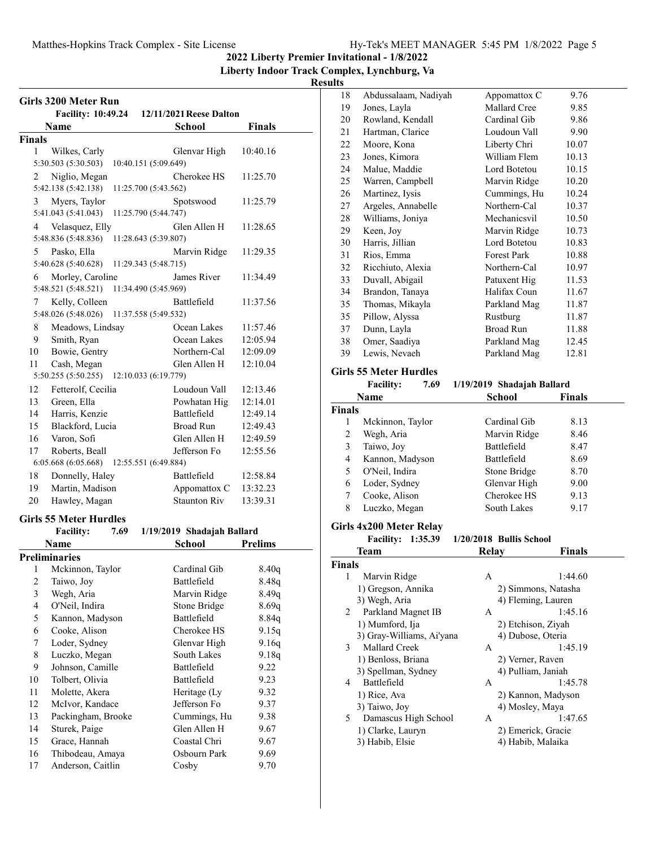## **2022 Liberty Premier Invitational - 1/8/2022**

**Liberty Indoor Track Complex, Lynchburg, Va**

## **Results**

| Girls 3200 Meter Run    |                                                                 |                            |                |  |
|-------------------------|-----------------------------------------------------------------|----------------------------|----------------|--|
|                         | <b>Facility: 10:49.24</b>                                       | 12/11/2021 Reese Dalton    |                |  |
|                         | Name                                                            | School                     | <b>Finals</b>  |  |
| Finals                  |                                                                 |                            |                |  |
| 1                       | Wilkes, Carly                                                   | Glenvar High               | 10:40.16       |  |
|                         | 5:30.503 (5:30.503)<br>10:40.151 (5:09.649)                     |                            |                |  |
| 2                       | Niglio, Megan                                                   | Cherokee HS                | 11:25.70       |  |
|                         | 5:42.138 (5:42.138)<br>11:25.700 (5:43.562)                     |                            |                |  |
| 3                       | Myers, Taylor<br>5:41.043 (5:41.043)<br>11:25.790 (5:44.747)    | Spotswood                  | 11:25.79       |  |
| 4                       | Velasquez, Elly                                                 | Glen Allen H               | 11:28.65       |  |
|                         | 5:48.836 (5:48.836)<br>11:28.643 (5:39.807)                     |                            |                |  |
| 5                       | Pasko, Ella                                                     | Marvin Ridge               | 11:29.35       |  |
|                         | 5:40.628 (5:40.628)<br>11:29.343 (5:48.715)                     |                            |                |  |
| 6                       | Morley, Caroline<br>11:34.490 (5:45.969)<br>5:48.521 (5:48.521) | James River                | 11:34.49       |  |
| 7                       | Kelly, Colleen                                                  | Battlefield                | 11:37.56       |  |
|                         | 5:48.026 (5:48.026)<br>11:37.558 (5:49.532)                     |                            |                |  |
| 8                       | Meadows, Lindsay                                                | Ocean Lakes                | 11:57.46       |  |
| 9                       | Smith, Ryan                                                     | Ocean Lakes                | 12:05.94       |  |
| 10                      | Bowie, Gentry                                                   | Northern-Cal               | 12:09.09       |  |
| 11                      | Cash, Megan                                                     | Glen Allen H               | 12:10.04       |  |
|                         | 5:50.255 (5:50.255)<br>12:10.033 (6:19.779)                     |                            |                |  |
| 12                      | Fetterolf, Cecilia                                              | Loudoun Vall               | 12:13.46       |  |
| 13                      | Green, Ella                                                     | Powhatan Hig               | 12:14.01       |  |
| 14                      | Harris, Kenzie                                                  | Battlefield                | 12:49.14       |  |
| 15                      | Blackford, Lucia                                                | <b>Broad Run</b>           | 12:49.43       |  |
| 16                      | Varon, Sofi                                                     | Glen Allen H               | 12:49.59       |  |
| 17                      | Roberts, Beall                                                  | Jefferson Fo               | 12:55.56       |  |
|                         | 6:05.668 (6:05.668)<br>12:55.551 (6:49.884)                     |                            |                |  |
| 18                      | Donnelly, Haley                                                 | Battlefield                | 12:58.84       |  |
| 19                      | Martin, Madison                                                 | Appomattox C               | 13:32.23       |  |
| 20                      | Hawley, Magan                                                   | <b>Staunton Riv</b>        | 13:39.31       |  |
|                         | Girls 55 Meter Hurdles                                          |                            |                |  |
|                         | <b>Facility:</b><br>7.69                                        | 1/19/2019 Shadajah Ballard |                |  |
|                         | Name                                                            | <b>School</b>              | <b>Prelims</b> |  |
|                         | <b>Preliminaries</b>                                            |                            |                |  |
| 1                       | Mckinnon, Taylor                                                | Cardinal Gib               | 8.40q          |  |
| $\overline{\mathbf{c}}$ | Taiwo, Joy                                                      | Battlefield                | 8.48q          |  |
| 3                       | Wegh, Aria                                                      | Marvin Ridge               | 8.49q          |  |
| $\overline{4}$          | O'Neil, Indira                                                  | Stone Bridge               | 8.69q          |  |
| 5                       | Kannon, Madyson                                                 | Battlefield                | 8.84q          |  |
| 6                       | Cooke, Alison                                                   | Cherokee HS                | 9.15q          |  |
| 7                       | Loder, Sydney                                                   | Glenvar High               | 9.16q          |  |
| 8                       | Luczko, Megan                                                   | South Lakes                | 9.18q          |  |
| 9                       | Johnson, Camille                                                | <b>Battlefield</b>         | 9.22           |  |
| 10                      | Tolbert, Olivia                                                 | Battlefield                | 9.23           |  |
| 11                      | Molette, Akera                                                  | Heritage (Ly               | 9.32           |  |
| 12                      | McIvor, Kandace                                                 | Jefferson Fo               | 9.37           |  |
| 13                      | Packingham, Brooke                                              | Cummings, Hu               | 9.38           |  |
| 14                      | Sturek, Paige                                                   | Glen Allen H               | 9.67           |  |
| 15                      | Grace, Hannah                                                   | Coastal Chri               | 9.67           |  |
| 16                      | Thibodeau, Amaya                                                | Osbourn Park               | 9.69           |  |
| 17                      | Anderson, Caitlin                                               | Cosby                      | 9.70           |  |

| 18 | Abdussalaam, Nadiyah | Appomattox C       | 9.76  |
|----|----------------------|--------------------|-------|
| 19 | Jones, Layla         | Mallard Cree       | 9.85  |
| 20 | Rowland, Kendall     | Cardinal Gib       | 9.86  |
| 21 | Hartman, Clarice     | Loudoun Vall       | 9.90  |
| 22 | Moore, Kona          | Liberty Chri       | 10.07 |
| 23 | Jones, Kimora        | William Flem       | 10.13 |
| 24 | Malue, Maddie        | Lord Botetou       | 10.15 |
| 25 | Warren, Campbell     | Marvin Ridge       | 10.20 |
| 26 | Martinez, Iysis      | Cummings, Hu       | 10.24 |
| 27 | Argeles, Annabelle   | Northern-Cal       | 10.37 |
| 28 | Williams, Joniya     | Mechanicsvil       | 10.50 |
| 29 | Keen, Joy            | Marvin Ridge       | 10.73 |
| 30 | Harris, Jillian      | Lord Botetou       | 10.83 |
| 31 | Rios, Emma           | <b>Forest Park</b> | 10.88 |
| 32 | Ricchiuto, Alexia    | Northern-Cal       | 10.97 |
| 33 | Duvall, Abigail      | Patuxent Hig       | 11.53 |
| 34 | Brandon, Tanaya      | Halifax Coun       | 11.67 |
| 35 | Thomas, Mikayla      | Parkland Mag       | 11.87 |
| 35 | Pillow, Alyssa       | Rustburg           | 11.87 |
| 37 | Dunn, Layla          | Broad Run          | 11.88 |
| 38 | Omer, Saadiya        | Parkland Mag       | 12.45 |
| 39 | Lewis, Nevaeh        | Parkland Mag       | 12.81 |
|    |                      |                    |       |

## **Girls 55 Meter Hurdles**

#### Facility: 7.69 1/19/2019 Shadajah Ballard

|               | Name             | <b>School</b> | <b>Finals</b> |
|---------------|------------------|---------------|---------------|
| <b>Finals</b> |                  |               |               |
| 1             | Mckinnon, Taylor | Cardinal Gib  | 8.13          |
| 2             | Wegh, Aria       | Marvin Ridge  | 8.46          |
| 3             | Taiwo, Joy       | Battlefield   | 8.47          |
| 4             | Kannon, Madyson  | Battlefield   | 8.69          |
| 5             | O'Neil, Indira   | Stone Bridge  | 8.70          |
| 6             | Loder, Sydney    | Glenvar High  | 9.00          |
|               | Cooke, Alison    | Cherokee HS   | 9.13          |
| 8             | Luczko, Megan    | South Lakes   | 9.17          |

# **Girls 4x200 Meter Relay**

**Facility: 1:35.39 Bullis School 1/20/2018**

|               | Team                      | Relay | Finals              |
|---------------|---------------------------|-------|---------------------|
| <b>Finals</b> |                           |       |                     |
| 1             | Marvin Ridge              | A     | 1:44.60             |
|               | 1) Gregson, Annika        |       | 2) Simmons, Natasha |
|               | 3) Wegh, Aria             |       | 4) Fleming, Lauren  |
| 2             | Parkland Magnet IB        | A     | 1:45.16             |
|               | 1) Mumford, Ija           |       | 2) Etchison, Ziyah  |
|               | 3) Gray-Williams, Ai'yana |       | 4) Dubose, Oteria   |
| 3             | Mallard Creek             | A     | 1:45.19             |
|               | 1) Benloss, Briana        |       | 2) Verner, Raven    |
|               | 3) Spellman, Sydney       |       | 4) Pulliam, Janiah  |
| 4             | <b>Battlefield</b>        | A     | 1:45.78             |
|               | 1) Rice, Ava              |       | 2) Kannon, Madyson  |
|               | 3) Taiwo, Joy             |       | 4) Mosley, Maya     |
| 5             | Damascus High School      | A     | 1:47.65             |
|               | 1) Clarke, Lauryn         |       | 2) Emerick, Gracie  |
|               | 3) Habib, Elsie           |       | 4) Habib, Malaika   |
|               |                           |       |                     |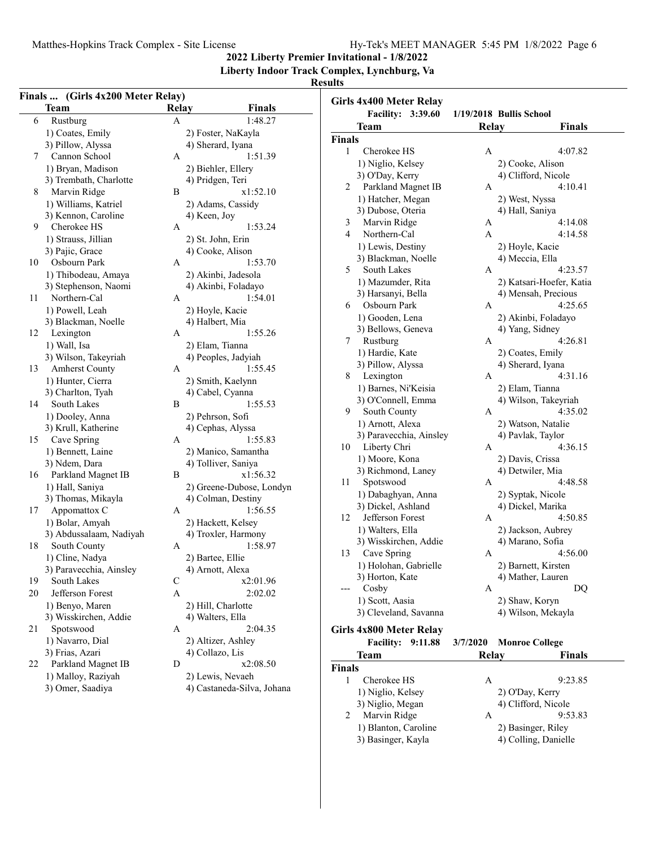**2022 Liberty Premier Invitational - 1/8/2022**

**Liberty Indoor Track Complex, Lynchburg, Va**

## **Results**

| Finals  (Girls 4x200 Meter Relay)<br><b>Team</b> | <b>Finals</b><br><b>Relay</b> | Girls 4x400 Meter Relay  |                                         |
|--------------------------------------------------|-------------------------------|--------------------------|-----------------------------------------|
| Rustburg                                         | 1:48.27<br>$\mathbf{A}$       | Facility: 3:39.60        | 1/19/2018 Bullis School                 |
| 1) Coates, Emily                                 | 2) Foster, NaKayla            | <b>Team</b>              | Relay<br>Finals                         |
| 3) Pillow, Alyssa                                | 4) Sherard, Iyana             | <b>Finals</b>            |                                         |
| Cannon School<br>7                               | 1:51.39<br>A                  | Cherokee HS<br>1         | 4:07.82<br>A                            |
| 1) Bryan, Madison                                | 2) Biehler, Ellery            | 1) Niglio, Kelsey        | 2) Cooke, Alison                        |
| 3) Trembath, Charlotte                           | 4) Pridgen, Teri              | 3) O'Day, Kerry          | 4) Clifford, Nicole                     |
| Marvin Ridge<br>8                                | B<br>x1:52.10                 | Parkland Magnet IB<br>2  | A<br>4:10.41                            |
| 1) Williams, Katriel                             | 2) Adams, Cassidy             | 1) Hatcher, Megan        | 2) West, Nyssa                          |
| 3) Kennon, Caroline                              | 4) Keen, Joy                  | 3) Dubose, Oteria        | 4) Hall, Saniya                         |
| Cherokee HS<br>9                                 | 1:53.24<br>A                  | Marvin Ridge<br>3        | 4:14.08<br>A                            |
| 1) Strauss, Jillian                              | 2) St. John, Erin             | Northern-Cal<br>4        | 4:14.58<br>A                            |
| 3) Pajic, Grace                                  | 4) Cooke, Alison              | 1) Lewis, Destiny        | 2) Hoyle, Kacie                         |
| Osbourn Park<br>10                               | $\mathbf{A}$<br>1:53.70       | 3) Blackman, Noelle      | 4) Meccia, Ella                         |
| 1) Thibodeau, Amaya                              | 2) Akinbi, Jadesola           | 5<br>South Lakes         | 4:23.57<br>A                            |
|                                                  |                               | 1) Mazumder, Rita        | 2) Katsari-Hoefer, Katia                |
| 3) Stephenson, Naomi<br>Northern-Cal<br>11       | 4) Akinbi, Foladayo           | 3) Harsanyi, Bella       | 4) Mensah, Precious                     |
|                                                  | 1:54.01<br>A                  | Osbourn Park<br>6        | A<br>4:25.65                            |
| 1) Powell, Leah                                  | 2) Hoyle, Kacie               | 1) Gooden, Lena          | 2) Akinbi, Foladayo                     |
| 3) Blackman, Noelle                              | 4) Halbert, Mia               | 3) Bellows, Geneva       | 4) Yang, Sidney                         |
| Lexington<br>12                                  | 1:55.26<br>A                  | 7<br>Rustburg            | 4:26.81<br>$\overline{A}$               |
| 1) Wall, Isa                                     | 2) Elam, Tianna               | 1) Hardie, Kate          | 2) Coates, Emily                        |
| 3) Wilson, Takeyriah                             | 4) Peoples, Jadyiah           | 3) Pillow, Alyssa        | 4) Sherard, Iyana                       |
| Amherst County<br>13                             | 1:55.45<br>A                  | Lexington<br>8           | 4:31.16<br>A                            |
| 1) Hunter, Cierra                                | 2) Smith, Kaelynn             | 1) Barnes, Ni'Keisia     |                                         |
| 3) Charlton, Tyah                                | 4) Cabel, Cyanna              | 3) O'Connell, Emma       | 2) Elam, Tianna<br>4) Wilson, Takeyriah |
| South Lakes<br>14                                | $\, {\bf B}$<br>1:55.53       | 9                        | A                                       |
| 1) Dooley, Anna                                  | 2) Pehrson, Sofi              | South County             | 4:35.02                                 |
| 3) Krull, Katherine                              | 4) Cephas, Alyssa             | 1) Arnott, Alexa         | 2) Watson, Natalie                      |
| Cave Spring<br>15                                | 1:55.83<br>A                  | 3) Paravecchia, Ainsley  | 4) Pavlak, Taylor                       |
| 1) Bennett, Laine                                | 2) Manico, Samantha           | Liberty Chri<br>10       | 4:36.15<br>A                            |
| 3) Ndem, Dara                                    | 4) Tolliver, Saniya           | 1) Moore, Kona           | 2) Davis, Crissa                        |
| Parkland Magnet IB<br>16                         | B<br>x1:56.32                 | 3) Richmond, Laney       | 4) Detwiler, Mia                        |
| 1) Hall, Saniya                                  | 2) Greene-Dubose, Londyn      | Spotswood<br>11          | 4:48.58<br>$\mathbf{A}$                 |
| 3) Thomas, Mikayla                               | 4) Colman, Destiny            | 1) Dabaghyan, Anna       | 2) Syptak, Nicole                       |
| Appomattox C<br>17                               | 1:56.55<br>A                  | 3) Dickel, Ashland       | 4) Dickel, Marika                       |
| 1) Bolar, Amyah                                  | 2) Hackett, Kelsey            | Jefferson Forest<br>12   | 4:50.85<br>A                            |
| 3) Abdussalaam, Nadiyah                          | 4) Troxler, Harmony           | 1) Walters, Ella         | 2) Jackson, Aubrey                      |
| South County<br>18                               | 1:58.97<br>A                  | 3) Wisskirchen, Addie    | 4) Marano, Sofia                        |
| 1) Cline, Nadya                                  | 2) Bartee, Ellie              | Cave Spring<br>13        | 4:56.00<br>A                            |
| 3) Paravecchia, Ainsley                          | 4) Arnott, Alexa              | 1) Holohan, Gabrielle    | 2) Barnett, Kirsten                     |
| South Lakes<br>19                                | x2:01.96<br>C                 | 3) Horton, Kate          | 4) Mather, Lauren                       |
| Jefferson Forest<br>20                           | 2:02.02<br>A                  | Cosby                    | DQ<br>A                                 |
| 1) Benyo, Maren                                  | 2) Hill, Charlotte            | 1) Scott, Aasia          | 2) Shaw, Koryn                          |
| 3) Wisskirchen, Addie                            |                               | 3) Cleveland, Savanna    | 4) Wilson, Mekayla                      |
| Spotswood<br>21                                  | 4) Walters, Ella<br>2:04.35   |                          |                                         |
|                                                  | A                             | Girls 4x800 Meter Relay  |                                         |
| 1) Navarro, Dial                                 | 2) Altizer, Ashley            | <b>Facility: 9:11.88</b> | <b>Monroe College</b><br>3/7/2020       |
| 3) Frias, Azari                                  | 4) Collazo, Lis               | <b>Team</b>              | Relay<br><b>Finals</b>                  |
| Parkland Magnet IB<br>22                         | x2:08.50<br>D                 | Finals                   |                                         |
| 1) Malloy, Raziyah                               | 2) Lewis, Nevaeh              | Cherokee HS<br>1         | 9:23.85<br>A                            |
| 3) Omer, Saadiya                                 | 4) Castaneda-Silva, Johana    | 1) Niglio, Kelsey        | 2) O'Day, Kerry                         |
|                                                  |                               | 3) Niglio, Megan         | 4) Clifford, Nicole                     |
|                                                  |                               | Marvin Ridge<br>2        | 9:53.83<br>A                            |
|                                                  |                               | 1) Blanton, Caroline     | 2) Basinger, Riley                      |

3) Basinger, Kayla 4) Colling, Danielle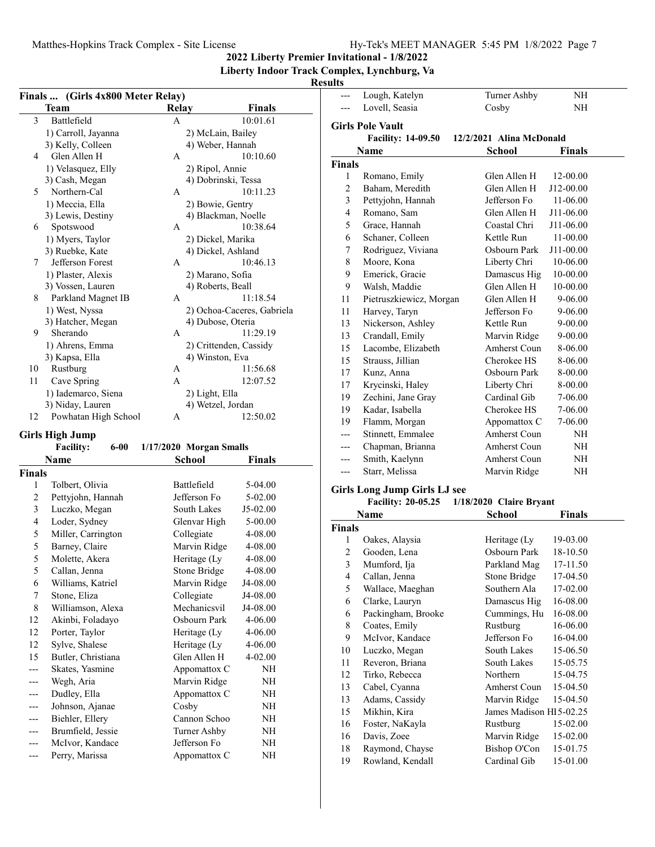**2022 Liberty Premier Invitational - 1/8/2022**

**Liberty Indoor Track Complex, Lynchburg, Va**

| Finals  (Girls 4x800 Meter Relay)   |                         |                            | ---                            | Lough, Katelyn                      | Turner Ashby                 | $\rm{NH}$     |
|-------------------------------------|-------------------------|----------------------------|--------------------------------|-------------------------------------|------------------------------|---------------|
| <b>Team</b>                         | <b>Relay</b>            | <b>Finals</b>              |                                | Lovell, Seasia                      | Cosby                        | $\rm NH$      |
| Battlefield<br>3                    | A                       | 10:01.61                   |                                | <b>Girls Pole Vault</b>             |                              |               |
| 1) Carroll, Jayanna                 | 2) McLain, Bailey       |                            |                                | <b>Facility: 14-09.50</b>           | 12/2/2021 Alina McDonald     |               |
| 3) Kelly, Colleen                   | 4) Weber, Hannah        |                            |                                | Name                                | <b>School</b>                | <b>Finals</b> |
| Glen Allen H<br>4                   | A                       | 10:10.60                   | <b>Finals</b>                  |                                     |                              |               |
| 1) Velasquez, Elly                  | 2) Ripol, Annie         |                            |                                |                                     | Glen Allen H                 | 12-00.00      |
| 3) Cash, Megan                      | 4) Dobrinski, Tessa     |                            | $\mathbf{1}$<br>$\overline{2}$ | Romano, Emily<br>Baham, Meredith    | Glen Allen H                 | J12-00.00     |
| 5<br>Northern-Cal                   | A                       | 10:11.23                   |                                |                                     |                              |               |
| 1) Meccia, Ella                     | 2) Bowie, Gentry        |                            | 3                              | Pettyjohn, Hannah                   | Jefferson Fo<br>Glen Allen H | 11-06.00      |
| 3) Lewis, Destiny                   | 4) Blackman, Noelle     |                            | 4                              | Romano, Sam                         |                              | J11-06.00     |
| Spotswood<br>6                      | A                       | 10:38.64                   | 5                              | Grace, Hannah                       | Coastal Chri                 | J11-06.00     |
| 1) Myers, Taylor                    | 2) Dickel, Marika       |                            | 6                              | Schaner, Colleen                    | Kettle Run                   | 11-00.00      |
| 3) Ruebke, Kate                     | 4) Dickel, Ashland      |                            | $\tau$                         | Rodriguez, Viviana                  | Osbourn Park                 | J11-00.00     |
| Jefferson Forest<br>7               | $\mathbf{A}$            | 10:46.13                   | 8                              | Moore, Kona                         | Liberty Chri                 | 10-06.00      |
| 1) Plaster, Alexis                  | 2) Marano, Sofia        |                            | 9                              | Emerick, Gracie                     | Damascus Hig                 | 10-00.00      |
| 3) Vossen, Lauren                   | 4) Roberts, Beall       |                            | 9                              | Walsh, Maddie                       | Glen Allen H                 | 10-00.00      |
| Parkland Magnet IB<br>8             | A                       | 11:18.54                   | 11                             | Pietruszkiewicz, Morgan             | Glen Allen H                 | 9-06.00       |
| 1) West, Nyssa<br>3) Hatcher, Megan | 4) Dubose, Oteria       | 2) Ochoa-Caceres, Gabriela | 11                             | Harvey, Taryn                       | Jefferson Fo                 | 9-06.00       |
| Sherando<br>9                       | A                       | 11:29.19                   | 13                             | Nickerson, Ashley                   | Kettle Run                   | $9 - 00.00$   |
| 1) Ahrens, Emma                     | 2) Crittenden, Cassidy  |                            | 13                             | Crandall, Emily                     | Marvin Ridge                 | 9-00.00       |
| 3) Kapsa, Ella                      | 4) Winston, Eva         |                            | 15                             | Lacombe, Elizabeth                  | Amherst Coun                 | 8-06.00       |
| Rustburg<br>10                      | A                       | 11:56.68                   | 15                             | Strauss, Jillian                    | Cherokee HS                  | 8-06.00       |
| Cave Spring<br>11                   | A                       | 12:07.52                   | 17                             | Kunz, Anna                          | Osbourn Park                 | 8-00.00       |
| 1) Iademarco, Siena                 | 2) Light, Ella          |                            | 17                             | Krycinski, Haley                    | Liberty Chri                 | 8-00.00       |
| 3) Niday, Lauren                    | 4) Wetzel, Jordan       |                            | 19                             | Zechini, Jane Gray                  | Cardinal Gib                 | 7-06.00       |
| Powhatan High School<br>12          | A                       | 12:50.02                   | 19                             | Kadar, Isabella                     | Cherokee HS                  | 7-06.00       |
|                                     |                         |                            | 19                             | Flamm, Morgan                       | Appomattox C                 | 7-06.00       |
| <b>Girls High Jump</b>              |                         |                            | $---$                          | Stinnett, Emmalee                   | Amherst Coun                 | $\rm NH$      |
| $6-00$<br><b>Facility:</b>          | 1/17/2020 Morgan Smalls |                            | $---$                          | Chapman, Brianna                    | Amherst Coun                 | $\rm{NH}$     |
| Name                                | <b>School</b>           | <b>Finals</b>              | $---$                          | Smith, Kaelynn                      | Amherst Coun                 | $\rm NH$      |
| <b>Finals</b>                       |                         |                            | $---$                          | Starr, Melissa                      | Marvin Ridge                 | $\rm{NH}$     |
| Tolbert, Olivia<br>1                | Battlefield             | 5-04.00                    |                                | <b>Girls Long Jump Girls LJ see</b> |                              |               |
| 2<br>Pettyjohn, Hannah              | Jefferson Fo            | 5-02.00                    |                                | <b>Facility: 20-05.25</b>           | 1/18/2020 Claire Bryant      |               |
| 3<br>Luczko, Megan                  | South Lakes             | J5-02.00                   |                                | <b>Name</b>                         | <b>School</b>                | <b>Finals</b> |
| 4<br>Loder, Sydney                  | Glenvar High            | 5-00.00                    | <b>Finals</b>                  |                                     |                              |               |
| 5<br>Miller, Carrington             | Collegiate              | 4-08.00                    | 1                              | Oakes, Alaysia                      | Heritage (Ly                 | 19-03.00      |
| 5<br>Barney, Claire                 | Marvin Ridge            | 4-08.00                    | $\sqrt{2}$                     | Gooden, Lena                        | Osbourn Park                 | 18-10.50      |
| 5<br>Molette, Akera                 | Heritage (Ly            | 4-08.00                    | 3                              | Mumford, Ija                        | Parkland Mag                 | 17-11.50      |
| 5<br>Callan, Jenna                  | <b>Stone Bridge</b>     | 4-08.00                    | 4                              | Callan, Jenna                       | Stone Bridge                 | 17-04.50      |
| 6<br>Williams, Katriel              | Marvin Ridge            | J4-08.00                   | 5                              | Wallace, Maeghan                    | Southern Ala                 | 17-02.00      |
| Stone, Eliza<br>7                   | Collegiate              | J4-08.00                   | 6                              | Clarke, Lauryn                      | Damascus Hig                 | 16-08.00      |
| 8<br>Williamson, Alexa              | Mechanicsvil            | J4-08.00                   | 6                              | Packingham, Brooke                  | Cummings, Hu                 | 16-08.00      |
| Akinbi, Foladayo<br>12              | Osbourn Park            | 4-06.00                    | 8                              | Coates, Emily                       | Rustburg                     | 16-06.00      |
| Porter, Taylor<br>12                | Heritage (Ly            | 4-06.00                    | 9                              | McIvor, Kandace                     | Jefferson Fo                 | 16-04.00      |
| Sylve, Shalese<br>12                | Heritage (Ly            | 4-06.00                    | 10                             | Luczko, Megan                       | South Lakes                  | 15-06.50      |
| Butler, Christiana<br>15            | Glen Allen H            | 4-02.00                    | 11                             | Reveron, Briana                     | South Lakes                  | 15-05.75      |
| Skates, Yasmine<br>---              | Appomattox C            | NH                         | 12                             | Tirko, Rebecca                      | Northern                     | 15-04.75      |
| Wegh, Aria<br>---                   | Marvin Ridge            | NH                         | 13                             | Cabel, Cyanna                       | Amherst Coun                 | 15-04.50      |
| Dudley, Ella<br>---                 | Appomattox C            | NH                         | 13                             | Adams, Cassidy                      | Marvin Ridge                 | 15-04.50      |
| Johnson, Ajanae<br>---              | Cosby                   | NH                         |                                |                                     |                              |               |
| Biehler, Ellery<br>---              | Cannon Schoo            | $\rm NH$                   | 15                             | Mikhin, Kira                        | James Madison Hi 5-02.25     |               |
| Brumfield, Jessie<br>---            | Turner Ashby            | NH                         | 16                             | Foster, NaKayla                     | Rustburg                     | 15-02.00      |
| McIvor, Kandace<br>---              | Jefferson Fo            | NH                         | 16                             | Davis, Zoee                         | Marvin Ridge                 | 15-02.00      |
| Perry, Marissa<br>---               | Appomattox C            | NH                         | 18                             | Raymond, Chayse                     | Bishop O'Con                 | 15-01.75      |
|                                     |                         |                            | 19                             | Rowland, Kendall                    | Cardinal Gib                 | 15-01.00      |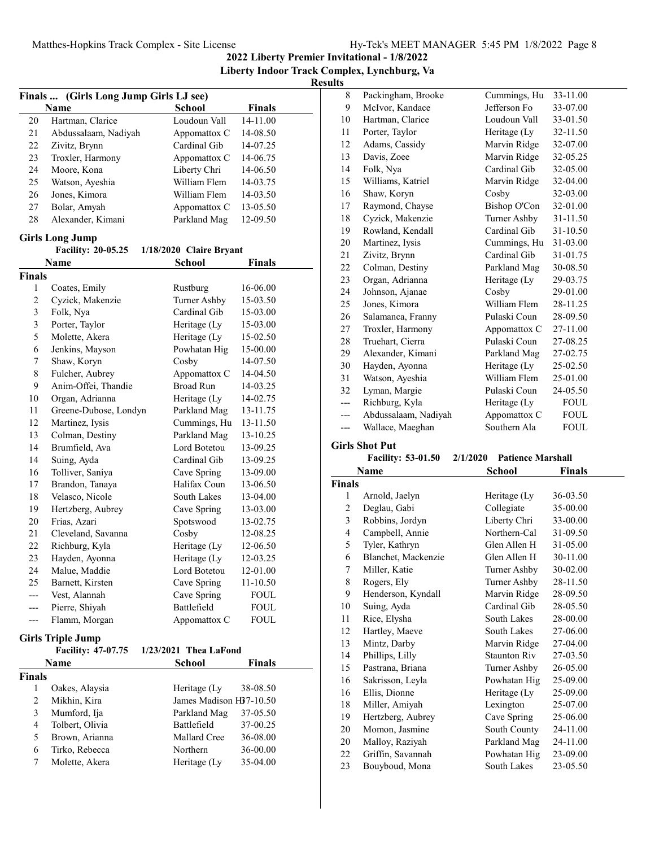**2022 Liberty Premier Invitational - 1/8/2022 Liberty Indoor Track Complex, Lynchburg, Va**

| Finals  (Girls Long Jump Girls LJ see) |                           |                         |               |  |
|----------------------------------------|---------------------------|-------------------------|---------------|--|
|                                        | Name                      | <b>School</b>           | <b>Finals</b> |  |
| 20                                     | Hartman, Clarice          | Loudoun Vall            | 14-11.00      |  |
| 21                                     | Abdussalaam, Nadiyah      | Appomattox C            | 14-08.50      |  |
| 22                                     | Zivitz, Brynn             | Cardinal Gib            | 14-07.25      |  |
| 23                                     | Troxler, Harmony          | Appomattox C            | 14-06.75      |  |
| 24                                     | Moore, Kona               | Liberty Chri            | 14-06.50      |  |
| 25                                     | Watson, Ayeshia           | William Flem            | 14-03.75      |  |
| 26                                     | Jones, Kimora             | William Flem            | 14-03.50      |  |
| 27                                     | Bolar, Amyah              | Appomattox C            | 13-05.50      |  |
| 28                                     | Alexander, Kimani         | Parkland Mag            | 12-09.50      |  |
|                                        | <b>Girls Long Jump</b>    |                         |               |  |
|                                        | <b>Facility: 20-05.25</b> | 1/18/2020 Claire Bryant |               |  |
|                                        | Name                      | <b>School</b>           | <b>Finals</b> |  |
| <b>Finals</b>                          |                           |                         |               |  |
| 1                                      | Coates, Emily             | Rustburg                | 16-06.00      |  |
| $\sqrt{2}$                             | Cyzick, Makenzie          | Turner Ashby            | 15-03.50      |  |
| $\mathfrak{Z}$                         | Folk, Nya                 | Cardinal Gib            | 15-03.00      |  |
| 3                                      | Porter, Taylor            | Heritage (Ly            | 15-03.00      |  |
| 5                                      | Molette, Akera            | Heritage (Ly            | 15-02.50      |  |
| 6                                      | Jenkins, Mayson           | Powhatan Hig            | 15-00.00      |  |
| 7                                      | Shaw, Koryn               | Cosby                   | 14-07.50      |  |
| $\,$ $\,$                              | Fulcher, Aubrey           | Appomattox C            | 14-04.50      |  |
| 9                                      | Anim-Offei, Thandie       | <b>Broad Run</b>        | 14-03.25      |  |
| 10                                     | Organ, Adrianna           | Heritage (Ly            | 14-02.75      |  |
| 11                                     | Greene-Dubose, Londyn     | Parkland Mag            | 13-11.75      |  |
| 12                                     | Martinez, Iysis           | Cummings, Hu            | 13-11.50      |  |
| 13                                     | Colman, Destiny           | Parkland Mag            | 13-10.25      |  |
| 14                                     | Brumfield, Ava            | Lord Botetou            | 13-09.25      |  |
| 14                                     | Suing, Ayda               | Cardinal Gib            | 13-09.25      |  |
| 16                                     | Tolliver, Saniya          | Cave Spring             | 13-09.00      |  |
| 17                                     | Brandon, Tanaya           | Halifax Coun            | 13-06.50      |  |
| 18                                     | Velasco, Nicole           | South Lakes             | 13-04.00      |  |
| 19                                     | Hertzberg, Aubrey         | Cave Spring             | 13-03.00      |  |
| 20                                     | Frias, Azari              | Spotswood               | 13-02.75      |  |
| 21                                     | Cleveland, Savanna        | Cosby                   | 12-08.25      |  |
| 22                                     | Richburg, Kyla            | Heritage (Ly            | 12-06.50      |  |
| 23                                     | Hayden, Ayonna            | Heritage (Ly            | 12-03.25      |  |
| 24                                     | Malue, Maddie             | Lord Botetou            | 12-01.00      |  |
| 25                                     | Barnett, Kirsten          | Cave Spring             | 11-10.50      |  |
| ---                                    | Vest, Alannah             | Cave Spring             | <b>FOUL</b>   |  |
| ---                                    | Pierre, Shiyah            | Battlefield             | <b>FOUL</b>   |  |
| ---                                    | Flamm, Morgan             | Appomattox C            | <b>FOUL</b>   |  |
|                                        | <b>Girls Triple Jump</b>  |                         |               |  |
|                                        | Facility: 47-07.75        | 1/23/2021 Thea LaFond   |               |  |
|                                        | Name                      | <b>School</b>           | Finals        |  |
| Finals                                 |                           |                         |               |  |
| 1                                      | Oakes, Alaysia            | Heritage (Ly            | 38-08.50      |  |
| $\overline{c}$                         | Mikhin, Kira              | James Madison H37-10.50 |               |  |
| 3                                      | Mumford, Ija              | Parkland Mag            | 37-05.50      |  |
| $\overline{4}$                         | Tolbert, Olivia           | Battlefield             | 37-00.25      |  |
| 5                                      | Brown, Arianna            | Mallard Cree            | 36-08.00      |  |
| 6                                      | Tirko, Rebecca            | Northern                | 36-00.00      |  |
| 7                                      | Molette, Akera            | Heritage (Ly            | 35-04.00      |  |
|                                        |                           |                         |               |  |

| 8   | Packingham, Brooke   | Cummings, Hu | 33-11.00    |
|-----|----------------------|--------------|-------------|
| 9   | McIvor, Kandace      | Jefferson Fo | 33-07.00    |
| 10  | Hartman, Clarice     | Loudoun Vall | 33-01.50    |
| 11  | Porter, Taylor       | Heritage (Ly | 32-11.50    |
| 12  | Adams, Cassidy       | Marvin Ridge | 32-07.00    |
| 13  | Davis, Zoee          | Marvin Ridge | 32-05.25    |
| 14  | Folk, Nya            | Cardinal Gib | 32-05.00    |
| 15  | Williams, Katriel    | Marvin Ridge | 32-04.00    |
| 16  | Shaw, Koryn          | Cosby        | 32-03.00    |
| 17  | Raymond, Chayse      | Bishop O'Con | 32-01.00    |
| 18  | Cyzick, Makenzie     | Turner Ashby | 31-11.50    |
| 19  | Rowland, Kendall     | Cardinal Gib | 31-10.50    |
| 20  | Martinez, Iysis      | Cummings, Hu | 31-03.00    |
| 21  | Zivitz, Brynn        | Cardinal Gib | 31-01.75    |
| 22  | Colman, Destiny      | Parkland Mag | 30-08.50    |
| 23  | Organ, Adrianna      | Heritage (Ly | 29-03.75    |
| 24  | Johnson, Ajanae      | Cosby        | 29-01.00    |
| 25  | Jones, Kimora        | William Flem | 28-11.25    |
| 26  | Salamanca, Franny    | Pulaski Coun | 28-09.50    |
| 27  | Troxler, Harmony     | Appomattox C | 27-11.00    |
| 28  | Truehart, Cierra     | Pulaski Coun | 27-08.25    |
| 29  | Alexander, Kimani    | Parkland Mag | 27-02.75    |
| 30  | Hayden, Ayonna       | Heritage (Ly | 25-02.50    |
| 31  | Watson, Ayeshia      | William Flem | 25-01.00    |
| 32  | Lyman, Margie        | Pulaski Coun | 24-05.50    |
| --- | Richburg, Kyla       | Heritage (Ly | FOUL        |
| --- | Abdussalaam, Nadiyah | Appomattox C | FOUL        |
| --- | Wallace, Maeghan     | Southern Ala | <b>FOUL</b> |

#### **Girls Shot Put**

#### **Facility: 53-01.50 2/1/2020 Patience Marshall Name School Finals**

|               | 1141116             | penool              | т піатэ  |  |
|---------------|---------------------|---------------------|----------|--|
| <b>Finals</b> |                     |                     |          |  |
| 1             | Arnold, Jaelyn      | Heritage (Ly        | 36-03.50 |  |
| 2             | Deglau, Gabi        | Collegiate          | 35-00.00 |  |
| 3             | Robbins, Jordyn     | Liberty Chri        | 33-00.00 |  |
| 4             | Campbell, Annie     | Northern-Cal        | 31-09.50 |  |
| 5             | Tyler, Kathryn      | Glen Allen H        | 31-05.00 |  |
| 6             | Blanchet, Mackenzie | Glen Allen H        | 30-11.00 |  |
| 7             | Miller, Katie       | Turner Ashby        | 30-02.00 |  |
| 8             | Rogers, Ely         | Turner Ashby        | 28-11.50 |  |
| 9             | Henderson, Kyndall  | Marvin Ridge        | 28-09.50 |  |
| 10            | Suing, Ayda         | Cardinal Gib        | 28-05.50 |  |
| 11            | Rice, Elysha        | South Lakes         | 28-00.00 |  |
| 12            | Hartley, Maeve      | South Lakes         | 27-06.00 |  |
| 13            | Mintz, Darby        | Marvin Ridge        | 27-04.00 |  |
| 14            | Phillips, Lilly     | <b>Staunton Riv</b> | 27-03.50 |  |
| 15            | Pastrana, Briana    | Turner Ashby        | 26-05.00 |  |
| 16            | Sakrisson, Leyla    | Powhatan Hig        | 25-09.00 |  |
| 16            | Ellis, Dionne       | Heritage (Ly        | 25-09.00 |  |
| 18            | Miller, Amiyah      | Lexington           | 25-07.00 |  |
| 19            | Hertzberg, Aubrey   | Cave Spring         | 25-06.00 |  |
| 20            | Momon, Jasmine      | South County        | 24-11.00 |  |
| 20            | Malloy, Raziyah     | Parkland Mag        | 24-11.00 |  |
| 22            | Griffin, Savannah   | Powhatan Hig        | 23-09.00 |  |
| 23            | Bouyboud, Mona      | South Lakes         | 23-05.50 |  |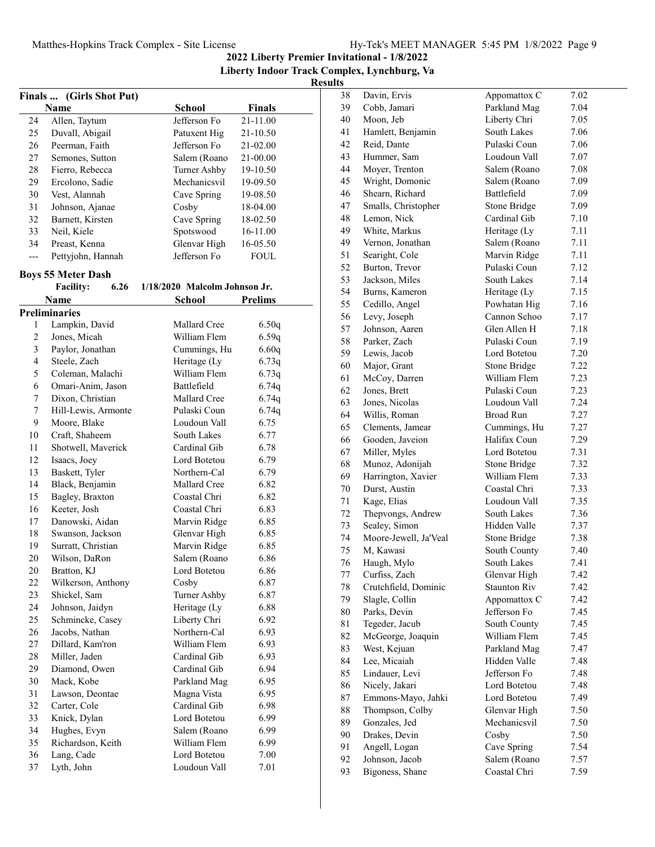**2022 Liberty Premier Invitational - 1/8/2022 Liberty Indoor Track Complex, Lynchburg, Va**

## **Results**

|       |                           |                               |                | R |
|-------|---------------------------|-------------------------------|----------------|---|
|       | Finals  (Girls Shot Put)  |                               |                |   |
|       | Name                      | <b>School</b>                 | Finals         |   |
| 24    | Allen, Taytum             | Jefferson Fo                  | 21-11.00       |   |
| 25    | Duvall, Abigail           | Patuxent Hig                  | 21-10.50       |   |
| 26    | Peerman, Faith            | Jefferson Fo                  | 21-02.00       |   |
| 27    | Semones, Sutton           | Salem (Roano                  | 21-00.00       |   |
| 28    | Fierro, Rebecca           | Turner Ashby                  | 19-10.50       |   |
| 29    | Ercolono, Sadie           | Mechanicsvil                  | 19-09.50       |   |
| 30    | Vest, Alannah             | Cave Spring                   | 19-08.50       |   |
| 31    | Johnson, Ajanae           | Cosby                         | 18-04.00       |   |
| 32    | Barnett, Kirsten          | Cave Spring                   | 18-02.50       |   |
| 33    | Neil, Kiele               | Spotswood                     | 16-11.00       |   |
| 34    | Preast, Kenna             | Glenvar High                  | 16-05.50       |   |
| $---$ | Pettyjohn, Hannah         | Jefferson Fo                  | <b>FOUL</b>    |   |
|       | <b>Boys 55 Meter Dash</b> |                               |                |   |
|       | 6.26<br><b>Facility:</b>  | 1/18/2020 Malcolm Johnson Jr. |                |   |
|       | Name                      | <b>School</b>                 | <b>Prelims</b> |   |
|       | <b>Preliminaries</b>      |                               |                |   |
| 1     | Lampkin, David            | Mallard Cree                  | 6.50q          |   |
| 2     | Jones, Micah              | William Flem                  | 6.59q          |   |
| 3     | Paylor, Jonathan          | Cummings, Hu                  | 6.60q          |   |
| 4     | Steele, Zach              | Heritage (Ly                  | 6.73q          |   |
| 5     | Coleman, Malachi          | William Flem                  | 6.73q          |   |
| 6     | Omari-Anim, Jason         | Battlefield                   | 6.74q          |   |
| 7     | Dixon, Christian          | <b>Mallard Cree</b>           | 6.74q          |   |
| 7     | Hill-Lewis, Armonte       | Pulaski Coun                  | 6.74q          |   |
| 9     | Moore, Blake              | Loudoun Vall                  | 6.75           |   |
| 10    | Craft, Shaheem            | South Lakes                   | 6.77           |   |
| 11    | Shotwell, Maverick        | Cardinal Gib                  | 6.78           |   |
| 12    | Isaacs, Joey              | Lord Botetou                  | 6.79           |   |
| 13    | Baskett, Tyler            | Northern-Cal                  | 6.79           |   |
| 14    | Black, Benjamin           | Mallard Cree                  | 6.82           |   |
| 15    | Bagley, Braxton           | Coastal Chri                  | 6.82           |   |
| 16    | Keeter, Josh              | Coastal Chri                  | 6.83           |   |
| 17    | Danowski, Aidan           | Marvin Ridge                  | 6.85           |   |
| 18    | Swanson, Jackson          | Glenvar High                  | 6.85           |   |
| 19    | Surratt, Christian        | Marvin Ridge                  | 6.85           |   |
| 20    | Wilson, DaRon             | Salem (Roano                  | 6.86           |   |
| 20    | Bratton, KJ               | Lord Botetou                  | 6.86           |   |
| 22    | Wilkerson, Anthony        | Cosby                         | 6.87           |   |
| 23    | Shickel, Sam              | Turner Ashby                  | 6.87           |   |
| 24    | Johnson, Jaidyn           | Heritage (Ly                  | 6.88           |   |
| 25    | Schmincke, Casey          | Liberty Chri                  | 6.92           |   |
| 26    | Jacobs, Nathan            | Northern-Cal                  | 6.93           |   |
| 27    | Dillard, Kam'ron          | William Flem                  | 6.93           |   |
| 28    | Miller, Jaden             | Cardinal Gib                  | 6.93           |   |

29 Diamond, Owen Cardinal Gib 6.94 30 6.95 Mack, Kobe Parkland Mag 31 6.95 Lawson, Deontae Magna Vista 32 6.98 Carter, Cole Cardinal Gib 33 6.99 Knick, Dylan Lord Botetou 34 Hughes, Evyn Salem (Roano 6.99 35 6.99 Richardson, Keith William Flem 36 7.00 Lang, Cade Lord Botetou 37 Lyth, John Loudoun Vall 7.01

| 38 | Davin, Ervis          | Appomattox C                 | 7.02 |
|----|-----------------------|------------------------------|------|
| 39 | Cobb, Jamari          | Parkland Mag                 | 7.04 |
| 40 | Moon, Jeb             | Liberty Chri                 | 7.05 |
| 41 | Hamlett, Benjamin     | South Lakes                  | 7.06 |
| 42 | Reid, Dante           | Pulaski Coun                 | 7.06 |
| 43 | Hummer, Sam           | Loudoun Vall                 | 7.07 |
| 44 | Moyer, Trenton        | Salem (Roano                 | 7.08 |
| 45 | Wright, Domonic       | Salem (Roano                 | 7.09 |
| 46 | Shearn, Richard       | Battlefield                  | 7.09 |
|    |                       |                              |      |
| 47 | Smalls, Christopher   | Stone Bridge<br>Cardinal Gib | 7.09 |
| 48 | Lemon, Nick           |                              | 7.10 |
| 49 | White, Markus         | Heritage (Ly                 | 7.11 |
| 49 | Vernon, Jonathan      | Salem (Roano                 | 7.11 |
| 51 | Searight, Cole        | Marvin Ridge                 | 7.11 |
| 52 | Burton, Trevor        | Pulaski Coun                 | 7.12 |
| 53 | Jackson, Miles        | South Lakes                  | 7.14 |
| 54 | Burns, Kameron        | Heritage (Ly                 | 7.15 |
| 55 | Cedillo, Angel        | Powhatan Hig                 | 7.16 |
| 56 | Levy, Joseph          | Cannon Schoo                 | 7.17 |
| 57 | Johnson, Aaren        | Glen Allen H                 | 7.18 |
| 58 | Parker, Zach          | Pulaski Coun                 | 7.19 |
| 59 | Lewis, Jacob          | Lord Botetou                 | 7.20 |
| 60 | Major, Grant          | Stone Bridge                 | 7.22 |
| 61 | McCoy, Darren         | William Flem                 | 7.23 |
| 62 | Jones, Brett          | Pulaski Coun                 | 7.23 |
| 63 | Jones, Nicolas        | Loudoun Vall                 | 7.24 |
| 64 | Willis, Roman         | Broad Run                    | 7.27 |
| 65 | Clements, Jamear      | Cummings, Hu                 | 7.27 |
| 66 | Gooden, Javeion       | Halifax Coun                 | 7.29 |
| 67 | Miller, Myles         | Lord Botetou                 | 7.31 |
| 68 | Munoz, Adonijah       | Stone Bridge                 | 7.32 |
| 69 | Harrington, Xavier    | William Flem                 | 7.33 |
| 70 | Durst, Austin         | Coastal Chri                 | 7.33 |
| 71 | Kage, Elias           | Loudoun Vall                 | 7.35 |
| 72 | Thepvongs, Andrew     | South Lakes                  | 7.36 |
| 73 | Sealey, Simon         | Hidden Valle                 | 7.37 |
| 74 | Moore-Jewell, Ja'Veal | Stone Bridge                 | 7.38 |
| 75 | M, Kawasi             | South County                 | 7.40 |
| 76 | Haugh, Mylo           | South Lakes                  | 7.41 |
| 77 | Curfiss, Zach         | Glenvar High                 | 7.42 |
| 78 | Crutchfield, Dominic  | <b>Staunton Riv</b>          | 7.42 |
| 79 | Slagle, Collin        | Appomattox C                 | 7.42 |
| 80 | Parks, Devin          | Jefferson Fo                 | 7.45 |
| 81 | Tegeder, Jacub        | South County                 | 7.45 |
| 82 | McGeorge, Joaquin     | William Flem                 | 7.45 |
| 83 | West, Kejuan          | Parkland Mag                 | 7.47 |
| 84 | Lee, Micaiah          | Hidden Valle                 | 7.48 |
| 85 | Lindauer, Levi        | Jefferson Fo                 | 7.48 |
| 86 | Nicely, Jakari        | Lord Botetou                 | 7.48 |
| 87 | Emmons-Mayo, Jahki    | Lord Botetou                 | 7.49 |
| 88 | Thompson, Colby       | Glenvar High                 | 7.50 |
| 89 | Gonzales, Jed         | Mechanicsvil                 | 7.50 |
| 90 | Drakes, Devin         | Cosby                        | 7.50 |
| 91 | Angell, Logan         | Cave Spring                  | 7.54 |
| 92 | Johnson, Jacob        | Salem (Roano                 | 7.57 |
| 93 | Bigoness, Shane       | Coastal Chri                 | 7.59 |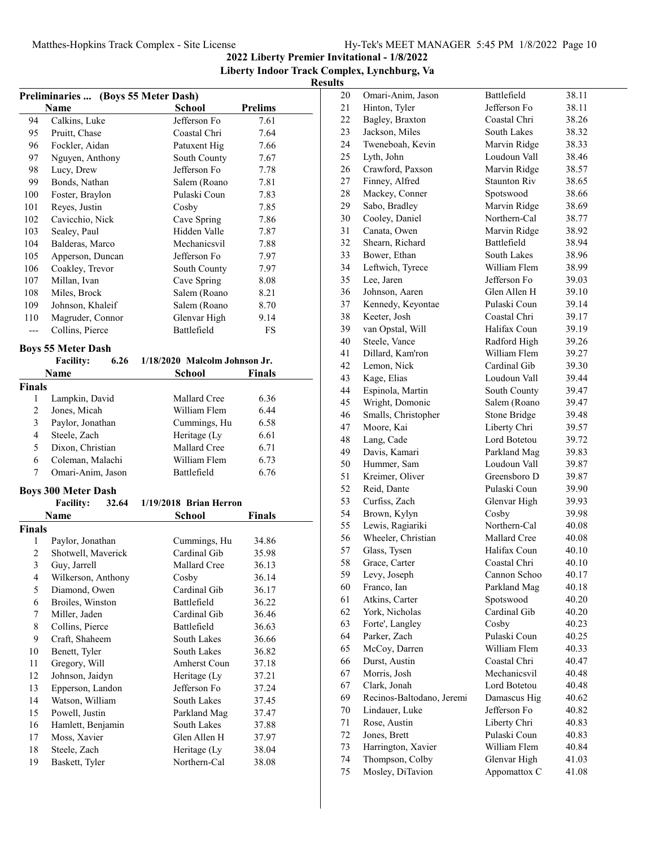**2022 Liberty Premier Invitational - 1/8/2022**

**Liberty Indoor Track Complex, Lynchburg, Va Results**

| Preliminaries  (Boys 55 Meter Dash) |                                   |  |                               |                |
|-------------------------------------|-----------------------------------|--|-------------------------------|----------------|
|                                     | Name                              |  | <b>School</b>                 | <b>Prelims</b> |
| 94                                  | Calkins, Luke                     |  | Jefferson Fo                  | 7.61           |
| 95                                  | Pruitt, Chase                     |  | Coastal Chri                  | 7.64           |
| 96                                  | Fockler, Aidan                    |  | Patuxent Hig                  | 7.66           |
| 97                                  | Nguyen, Anthony                   |  | South County                  | 7.67           |
| 98                                  | Lucy, Drew                        |  | Jefferson Fo                  | 7.78           |
| 99                                  | Bonds, Nathan                     |  | Salem (Roano                  | 7.81           |
| 100                                 | Foster, Braylon                   |  | Pulaski Coun                  | 7.83           |
| 101                                 | Reyes, Justin                     |  | Cosby                         | 7.85           |
| 102                                 | Cavicchio, Nick                   |  | Cave Spring                   | 7.86           |
| 103                                 | Sealey, Paul                      |  | Hidden Valle                  | 7.87           |
| 104                                 | Balderas, Marco                   |  | Mechanicsvil                  | 7.88           |
| 105                                 | Apperson, Duncan                  |  | Jefferson Fo                  | 7.97           |
| 106                                 | Coakley, Trevor                   |  | South County                  | 7.97           |
| 107                                 | Millan, Ivan                      |  | Cave Spring                   | 8.08           |
| 108                                 | Miles, Brock                      |  | Salem (Roano                  | 8.21           |
| 109                                 | Johnson, Khaleif                  |  | Salem (Roano                  | 8.70           |
| 110                                 | Magruder, Connor                  |  | Glenvar High                  | 9.14           |
| $---$                               | Collins, Pierce                   |  | Battlefield                   | FS             |
|                                     |                                   |  |                               |                |
|                                     | <b>Boys 55 Meter Dash</b>         |  |                               |                |
|                                     | 6.26<br><b>Facility:</b>          |  | 1/18/2020 Malcolm Johnson Jr. |                |
|                                     | Name                              |  | School                        | Finals         |
| Finals                              |                                   |  |                               |                |
| 1                                   | Lampkin, David                    |  | Mallard Cree                  | 6.36           |
| $\overline{c}$                      | Jones, Micah                      |  | William Flem                  | 6.44           |
| 3                                   | Paylor, Jonathan                  |  | Cummings, Hu                  | 6.58           |
| 4                                   | Steele, Zach                      |  | Heritage (Ly                  | 6.61           |
| 5                                   | Dixon, Christian                  |  | Mallard Cree                  | 6.71           |
| 6                                   | Coleman, Malachi                  |  | William Flem                  | 6.73           |
| 7                                   | Omari-Anim, Jason                 |  | Battlefield                   | 6.76           |
|                                     | <b>Boys 300 Meter Dash</b>        |  |                               |                |
|                                     | <b>Facility:</b><br>32.64         |  | $1/19/2018$ Brian Herron      |                |
|                                     | <b>Name</b>                       |  | School                        | <b>Finals</b>  |
| <b>Finals</b>                       |                                   |  |                               |                |
| 1                                   | Paylor, Jonathan                  |  | Cummings, Hu                  | 34.86          |
| $\overline{c}$                      | Shotwell, Maverick                |  | Cardinal Gib                  | 35.98          |
| 3                                   |                                   |  | Mallard Cree                  | 36.13          |
| $\overline{\mathcal{L}}$            | Guy, Jarrell                      |  | Cosby                         |                |
| 5                                   | Wilkerson, Anthony                |  | Cardinal Gib                  | 36.14<br>36.17 |
|                                     | Diamond, Owen<br>Broiles, Winston |  | Battlefield                   | 36.22          |
| 6                                   |                                   |  |                               |                |
| 7                                   | Miller, Jaden                     |  | Cardinal Gib                  | 36.46          |
| 8                                   | Collins, Pierce                   |  | Battlefield<br>South Lakes    | 36.63          |
| 9                                   | Craft, Shaheem                    |  |                               | 36.66          |
| 10                                  | Benett, Tyler                     |  | South Lakes                   | 36.82          |
| 11                                  | Gregory, Will                     |  | <b>Amherst Coun</b>           | 37.18          |
| 12                                  | Johnson, Jaidyn                   |  | Heritage (Ly                  | 37.21          |
| 13                                  | Epperson, Landon                  |  | Jefferson Fo                  | 37.24          |
| 14                                  | Watson, William                   |  | South Lakes                   | 37.45          |
| 15                                  | Powell, Justin                    |  | Parkland Mag                  | 37.47          |
| 16                                  | Hamlett, Benjamin                 |  | South Lakes                   | 37.88          |
| 17                                  | Moss, Xavier                      |  | Glen Allen H                  | 37.97          |
| 18                                  | Steele, Zach                      |  | Heritage (Ly                  | 38.04          |
| 19                                  | Baskett, Tyler                    |  | Northern-Cal                  | 38.08          |

| 20     | Omari-Anim, Jason              | Battlefield                  | 38.11 |
|--------|--------------------------------|------------------------------|-------|
| 21     | Hinton, Tyler                  | Jefferson Fo                 | 38.11 |
| 22     | Bagley, Braxton                | Coastal Chri                 | 38.26 |
| 23     | Jackson, Miles                 | South Lakes                  | 38.32 |
| 24     | Tweneboah, Kevin               | Marvin Ridge                 | 38.33 |
| 25     | Lyth, John                     | Loudoun Vall                 | 38.46 |
| 26     | Crawford, Paxson               | Marvin Ridge                 | 38.57 |
| 27     | Finney, Alfred                 | <b>Staunton Riv</b>          | 38.65 |
| 28     | Mackey, Conner                 | Spotswood                    | 38.66 |
| 29     | Sabo, Bradley                  | Marvin Ridge                 | 38.69 |
| 30     | Cooley, Daniel                 | Northern-Cal                 | 38.77 |
| 31     | Canata, Owen                   | Marvin Ridge                 | 38.92 |
| 32     | Shearn, Richard                | Battlefield                  | 38.94 |
| 33     | Bower, Ethan                   | South Lakes                  | 38.96 |
| 34     | Leftwich, Tyrece               | William Flem                 | 38.99 |
| 35     | Lee, Jaren                     | Jefferson Fo                 | 39.03 |
| 36     | Johnson, Aaren                 | Glen Allen H                 | 39.10 |
| 37     | Kennedy, Keyontae              | Pulaski Coun                 | 39.14 |
| 38     | Keeter, Josh                   | Coastal Chri                 | 39.17 |
| 39     | van Opstal, Will               | Halifax Coun                 | 39.19 |
| 40     | Steele, Vance                  | Radford High                 | 39.26 |
| 41     | Dillard, Kam'ron               | William Flem                 | 39.27 |
| 42     | Lemon, Nick                    | Cardinal Gib                 | 39.30 |
| 43     | Kage, Elias                    | Loudoun Vall                 | 39.44 |
| 44     | Espinola, Martin               | South County                 | 39.47 |
| 45     | Wright, Domonic                | Salem (Roano                 | 39.47 |
| 46     | Smalls, Christopher            | <b>Stone Bridge</b>          | 39.48 |
| 47     | Moore, Kai                     | Liberty Chri                 |       |
| 48     |                                | Lord Botetou                 | 39.57 |
| 49     | Lang, Cade<br>Davis, Kamari    |                              | 39.72 |
| 50     |                                | Parkland Mag<br>Loudoun Vall | 39.83 |
| 51     | Hummer, Sam<br>Kreimer, Oliver | Greensboro D                 | 39.87 |
| 52     | Reid, Dante                    | Pulaski Coun                 | 39.87 |
| 53     | Curfiss, Zach                  |                              | 39.90 |
| 54     | Brown, Kylyn                   | Glenvar High<br>Cosby        | 39.93 |
|        |                                |                              | 39.98 |
| 55     | Lewis, Ragiariki               | Northern-Cal                 | 40.08 |
| 56     | Wheeler, Christian             | Mallard Cree<br>Halifax Coun | 40.08 |
| 57     | Glass, Tysen                   | Coastal Chri                 | 40.10 |
| 58     | Grace, Carter                  |                              | 40.10 |
| 59     | Levy, Joseph                   | Cannon Schoo                 | 40.17 |
| 60     | Franco, Ian                    | Parkland Mag                 | 40.18 |
| 61     | Atkins, Carter                 | Spotswood                    | 40.20 |
| 62     | York, Nicholas                 | Cardinal Gib                 | 40.20 |
| 63     | Forte', Langley                | Cosby                        | 40.23 |
| 64     | Parker, Zach                   | Pulaski Coun                 | 40.25 |
| 65     | McCoy, Darren                  | William Flem                 | 40.33 |
| 66     | Durst, Austin                  | Coastal Chri                 | 40.47 |
| 67     | Morris, Josh                   | Mechanicsvil                 | 40.48 |
| 67     | Clark, Jonah                   | Lord Botetou                 | 40.48 |
| 69     | Recinos-Baltodano, Jeremi      | Damascus Hig                 | 40.62 |
| 70     | Lindauer, Luke                 | Jefferson Fo                 | 40.82 |
| $71\,$ | Rose, Austin                   | Liberty Chri                 | 40.83 |
| 72     | Jones, Brett                   | Pulaski Coun                 | 40.83 |
| 73     | Harrington, Xavier             | William Flem                 | 40.84 |
| 74     | Thompson, Colby                | Glenvar High                 | 41.03 |
| 75     | Mosley, DiTavion               | Appomattox C                 | 41.08 |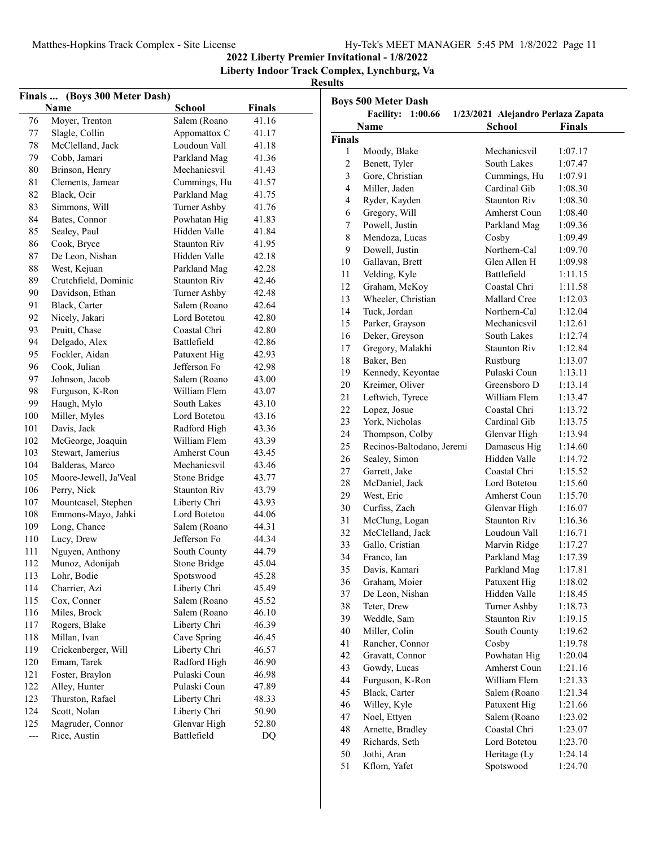**2022 Liberty Premier Invitational - 1/8/2022**

**Liberty Indoor Track Complex, Lynchburg, Va**

|        | Finals  (Boys 300 Meter Dash)<br><b>Name</b> |                     |               | <b>Boys 500</b>                 |
|--------|----------------------------------------------|---------------------|---------------|---------------------------------|
|        |                                              | <b>School</b>       | <b>Finals</b> |                                 |
| 76     | Moyer, Trenton                               | Salem (Roano        | 41.16         | N <sub>a</sub>                  |
| 77     | Slagle, Collin                               | Appomattox C        | 41.17         | <b>Finals</b>                   |
| 78     | McClelland, Jack                             | Loudoun Vall        | 41.18         | $\mathbf{1}$<br>N               |
| 79     | Cobb, Jamari                                 | Parkland Mag        | 41.36         | $\overline{2}$<br>B             |
| $80\,$ | Brinson, Henry                               | Mechanicsvil        | 41.43         | $\overline{\mathbf{3}}$<br>G    |
| 81     | Clements, Jamear                             | Cummings, Hu        | 41.57         | $\overline{4}$<br>$\mathbf{N}$  |
| 82     | Black, Ocir                                  | Parkland Mag        | 41.75         | $\overline{4}$<br>$\mathbb{R}$  |
| 83     | Simmons, Will                                | Turner Ashby        | 41.76         | 6<br>G                          |
| 84     | Bates, Connor                                | Powhatan Hig        | 41.83         | $\tau$<br>$\mathbf{P}$          |
| 85     | Sealey, Paul                                 | Hidden Valle        | 41.84         | 8<br>N                          |
| 86     | Cook, Bryce                                  | Staunton Riv        | 41.95         | 9<br>$\mathbf D$                |
| 87     | De Leon, Nishan                              | Hidden Valle        | 42.18         | G<br>10                         |
| 88     | West, Kejuan                                 | Parkland Mag        | 42.28         | V<br>11                         |
| 89     | Crutchfield, Dominic                         | <b>Staunton Riv</b> | 42.46         | 12<br>G                         |
| 90     | Davidson, Ethan                              | Turner Ashby        | 42.48         | 13<br>V                         |
| 91     | Black, Carter                                | Salem (Roano        | 42.64         | 14<br>T                         |
| 92     | Nicely, Jakari                               | Lord Botetou        | 42.80         | 15<br>$\mathbf{P}$              |
| 93     | Pruitt, Chase                                | Coastal Chri        | 42.80         | 16<br>D                         |
| 94     | Delgado, Alex                                | Battlefield         | 42.86         |                                 |
| 95     | Fockler, Aidan                               | Patuxent Hig        | 42.93         | 17<br>G                         |
| 96     | Cook, Julian                                 | Jefferson Fo        | 42.98         | 18<br>B                         |
| 97     | Johnson, Jacob                               | Salem (Roano        | 43.00         | K<br>19                         |
| 98     | Furguson, K-Ron                              | William Flem        | 43.07         | 20<br>K                         |
| 99     | Haugh, Mylo                                  | South Lakes         | 43.10         | 21<br>L                         |
| 100    | Miller, Myles                                | Lord Botetou        | 43.16         | 22<br>$\mathbf L$               |
| 101    | Davis, Jack                                  | Radford High        | 43.36         | 23<br>Y                         |
| 102    | McGeorge, Joaquin                            | William Flem        | 43.39         | 24<br>T                         |
| 103    | Stewart, Jamerius                            | <b>Amherst Coun</b> | 43.45         | 25<br>R                         |
| 104    | Balderas, Marco                              | Mechanicsvil        | 43.46         | S<br>26                         |
| 105    | Moore-Jewell, Ja'Veal                        | Stone Bridge        | 43.77         | 27<br>G                         |
| 106    | Perry, Nick                                  | <b>Staunton Riv</b> | 43.79         | 28<br>N                         |
| 107    | Mountcasel, Stephen                          | Liberty Chri        | 43.93         | 29<br>V                         |
| 108    | Emmons-Mayo, Jahki                           | Lord Botetou        | 44.06         | $\mathsf{C}$<br>30              |
| 109    | Long, Chance                                 | Salem (Roano        | 44.31         | 31<br>$\mathbf{N}$              |
| 110    | Lucy, Drew                                   | Jefferson Fo        | 44.34         | 32<br>N                         |
| 111    | Nguyen, Anthony                              | South County        | 44.79         | 33<br>G                         |
| 112    | Munoz, Adonijah                              | Stone Bridge        | 45.04         | 34<br>$\boldsymbol{\mathrm{F}}$ |
| 113    | Lohr, Bodie                                  | Spotswood           | 45.28         | 35<br>D                         |
|        |                                              | Liberty Chri        | 45.49         | 36<br>G                         |
| 114    | Charrier, Azi                                | Salem (Roano        |               | 37<br>D                         |
| 115    | Cox, Conner                                  |                     | 45.52         | 38<br>T                         |
| 116    | Miles, Brock                                 | Salem (Roano        | 46.10         | 39<br>V                         |
| 117    | Rogers, Blake<br>Millan, Ivan                | Liberty Chri        | 46.39         | 40<br>N                         |
| 118    |                                              | Cave Spring         | 46.45         | 41<br>R                         |
| 119    | Crickenberger, Will                          | Liberty Chri        | 46.57         | 42<br>G                         |
| 120    | Emam, Tarek                                  | Radford High        | 46.90         | 43<br>G                         |
| 121    | Foster, Braylon                              | Pulaski Coun        | 46.98         | 44<br>F                         |
| 122    | Alley, Hunter                                | Pulaski Coun        | 47.89         | 45<br>B                         |
| 123    | Thurston, Rafael                             | Liberty Chri        | 48.33         | V<br>46                         |
| 124    | Scott, Nolan                                 | Liberty Chri        | 50.90         | 47<br>N                         |
| 125    | Magruder, Connor                             | Glenvar High        | 52.80         | 48<br>A                         |
| ---    | Rice, Austin                                 | Battlefield         | DQ            | 49<br>R                         |

|                | <b>Boys 500 Meter Dash</b> |                                    |                    |
|----------------|----------------------------|------------------------------------|--------------------|
|                | <b>Facility: 1:00.66</b>   | 1/23/2021 Alejandro Perlaza Zapata |                    |
|                | Name                       | <b>School</b>                      | <b>Finals</b>      |
| Finals         |                            |                                    |                    |
| 1              | Moody, Blake               | Mechanicsvil                       | 1:07.17            |
| $\overline{c}$ | Benett, Tyler              | South Lakes                        | 1:07.47            |
| 3              | Gore, Christian            | Cummings, Hu                       | 1:07.91            |
| $\overline{4}$ | Miller, Jaden              | Cardinal Gib                       | 1:08.30            |
| $\overline{4}$ | Ryder, Kayden              | <b>Staunton Riv</b>                | 1:08.30            |
| 6              | Gregory, Will              | Amherst Coun                       | 1:08.40            |
| 7              | Powell, Justin             | Parkland Mag                       | 1:09.36            |
| 8              | Mendoza, Lucas             | Cosby                              | 1:09.49            |
| 9              | Dowell, Justin             | Northern-Cal                       | 1:09.70            |
| 10             | Gallavan, Brett            | Glen Allen H                       | 1:09.98            |
| 11             | Velding, Kyle              | Battlefield                        | 1:11.15            |
| 12             | Graham, McKoy              | Coastal Chri                       | 1:11.58            |
| 13             | Wheeler, Christian         | Mallard Cree                       | 1:12.03            |
| 14             | Tuck, Jordan               | Northern-Cal                       | 1:12.04            |
| 15             | Parker, Grayson            | Mechanicsvil                       | 1:12.61            |
| 16             | Deker, Greyson             | South Lakes                        | 1:12.74            |
| 17             | Gregory, Malakhi           | <b>Staunton Riv</b>                | 1:12.84            |
| 18             | Baker, Ben                 | Rustburg                           | 1:13.07            |
| 19             | Kennedy, Keyontae          | Pulaski Coun                       | 1:13.11            |
| 20             | Kreimer, Oliver            | Greensboro D                       | 1:13.14            |
| 21             | Leftwich, Tyrece           | William Flem                       | 1:13.47            |
| 22             | Lopez, Josue               | Coastal Chri                       | 1:13.72            |
| 23             | York, Nicholas             | Cardinal Gib                       | 1:13.75            |
| 24             | Thompson, Colby            | Glenvar High                       | 1:13.94            |
| 25             | Recinos-Baltodano, Jeremi  | Damascus Hig                       | 1:14.60            |
| 26             | Sealey, Simon              | Hidden Valle                       | 1:14.72            |
| 27             | Garrett, Jake              | Coastal Chri                       | 1:15.52            |
| 28             | McDaniel, Jack             | Lord Botetou                       | 1:15.60            |
| 29             | West, Eric                 | Amherst Coun                       | 1:15.70            |
| 30             | Curfiss, Zach              | Glenvar High                       | 1:16.07            |
| 31             | McClung, Logan             | <b>Staunton Riv</b>                | 1:16.36            |
| 32             | McClelland, Jack           | Loudoun Vall                       | 1:16.71            |
| 33             | Gallo, Cristian            | Marvin Ridge                       | 1:17.27            |
| 34             | Franco, Ian                | Parkland Mag                       | 1:17.39            |
| 35             | Davis, Kamari              | Parkland Mag                       | 1:17.81            |
| 36             | Graham, Moier              | Patuxent Hig                       | 1:18.02            |
| 37             | De Leon, Nishan            | Hidden Valle                       | 1:18.45            |
| 38             | Teter, Drew                | Turner Ashby                       | 1:18.73            |
| 39             | Weddle, Sam                | <b>Staunton Riv</b>                | 1:19.15            |
| 40             | Miller, Colin              | South County                       | 1:19.62            |
| 41             | Rancher, Connor            | Cosby                              | 1:19.78            |
| 42             | Gravatt, Connor            | Powhatan Hig                       | 1:20.04            |
| 43             | Gowdy, Lucas               | Amherst Coun                       |                    |
| 44             | Furguson, K-Ron            | William Flem                       | 1:21.16<br>1:21.33 |
| 45             | Black, Carter              |                                    |                    |
| 46             |                            | Salem (Roano                       | 1:21.34            |
|                | Willey, Kyle               | Patuxent Hig                       | 1:21.66            |
| 47             | Noel, Ettyen               | Salem (Roano                       | 1:23.02            |
| 48             | Arnette, Bradley           | Coastal Chri                       | 1:23.07            |
| 49             | Richards, Seth             | Lord Botetou                       | 1:23.70            |
| 50             | Jothi, Aran                | Heritage (Ly                       | 1:24.14            |
| 51             | Kflom, Yafet               | Spotswood                          | 1:24.70            |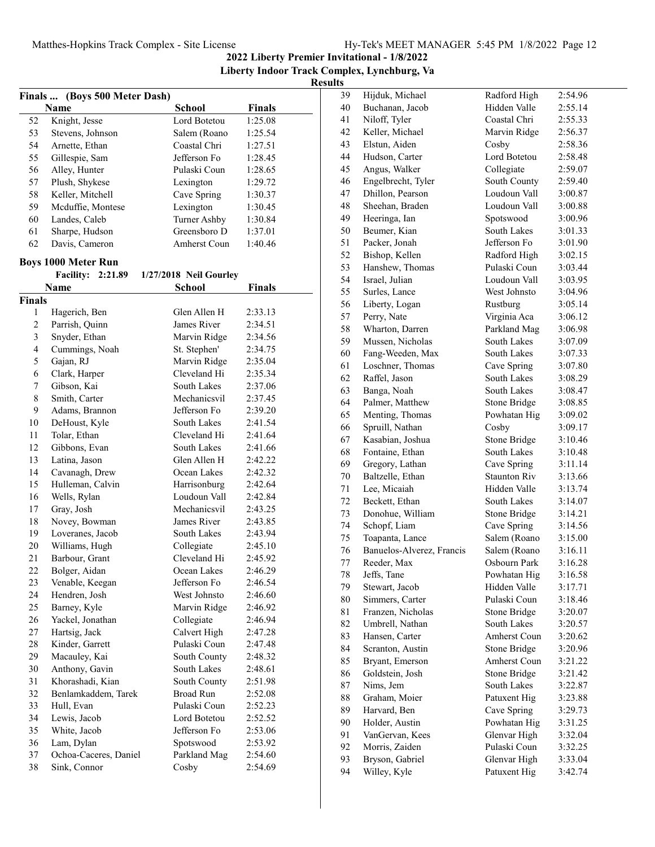**2022 Liberty Premier Invitational - 1/8/2022**

**Liberty Indoor Track Complex, Lynchburg, Va**

| Finals  (Boys 500 Meter Dash) |                                 |                        |                    |
|-------------------------------|---------------------------------|------------------------|--------------------|
|                               | Name                            | <b>School</b>          | <b>Finals</b>      |
| 52                            | Knight, Jesse                   | Lord Botetou           | 1:25.08            |
| 53                            | Stevens, Johnson                | Salem (Roano           | 1:25.54            |
| 54                            | Arnette, Ethan                  | Coastal Chri           | 1:27.51            |
| 55                            | Gillespie, Sam                  | Jefferson Fo           | 1:28.45            |
| 56                            | Alley, Hunter                   | Pulaski Coun           | 1:28.65            |
| 57                            | Plush, Shykese                  | Lexington              | 1:29.72            |
| 58                            | Keller, Mitchell                | Cave Spring            | 1:30.37            |
| 59                            | Mcduffie, Montese               | Lexington              | 1:30.45            |
| 60                            | Landes, Caleb                   | Turner Ashby           | 1:30.84            |
| 61                            | Sharpe, Hudson                  | Greensboro D           | 1:37.01            |
| 62                            | Davis, Cameron                  | <b>Amherst Coun</b>    | 1:40.46            |
|                               | <b>Boys 1000 Meter Run</b>      |                        |                    |
|                               | <b>Facility: 2:21.89</b>        | 1/27/2018 Neil Gourley |                    |
|                               | Name                            | <b>School</b>          | <b>Finals</b>      |
|                               |                                 |                        |                    |
| Finals<br>1                   |                                 | Glen Allen H           | 2:33.13            |
| $\mathfrak{2}$                | Hagerich, Ben<br>Parrish, Quinn | James River            |                    |
| 3                             | Snyder, Ethan                   | Marvin Ridge           | 2:34.51<br>2:34.56 |
| $\overline{\mathbf{4}}$       | Cummings, Noah                  | St. Stephen'           | 2:34.75            |
| 5                             | Gajan, RJ                       | Marvin Ridge           | 2:35.04            |
| 6                             | Clark, Harper                   | Cleveland Hi           | 2:35.34            |
| $\boldsymbol{7}$              | Gibson, Kai                     | South Lakes            | 2:37.06            |
| 8                             | Smith, Carter                   | Mechanicsvil           | 2:37.45            |
| 9                             | Adams, Brannon                  | Jefferson Fo           | 2:39.20            |
| 10                            | DeHoust, Kyle                   | South Lakes            | 2:41.54            |
| 11                            | Tolar, Ethan                    | Cleveland Hi           | 2:41.64            |
| 12                            | Gibbons, Evan                   | South Lakes            | 2:41.66            |
| 13                            | Latina, Jason                   | Glen Allen H           | 2:42.22            |
| 14                            | Cavanagh, Drew                  | Ocean Lakes            | 2:42.32            |
| 15                            | Hulleman, Calvin                | Harrisonburg           | 2:42.64            |
| 16                            | Wells, Rylan                    | Loudoun Vall           | 2:42.84            |
| 17                            | Gray, Josh                      | Mechanicsvil           | 2:43.25            |
| 18                            | Novey, Bowman                   | James River            | 2:43.85            |
| 19                            | Loveranes, Jacob                | South Lakes            | 2:43.94            |
| 20                            | Williams, Hugh                  | Collegiate             | 2:45.10            |
| 21                            | Barbour, Grant                  | Cleveland Hi           | 2:45.92            |
| 22                            | Bolger, Aidan                   | Ocean Lakes            | 2:46.29            |
| 23                            | Venable, Keegan                 | Jefferson Fo           | 2:46.54            |
| 24                            | Hendren, Josh                   | West Johnsto           | 2:46.60            |
| 25                            | Barney, Kyle                    | Marvin Ridge           | 2:46.92            |
| 26                            | Yackel, Jonathan                | Collegiate             | 2:46.94            |
| 27                            | Hartsig, Jack                   | Calvert High           | 2:47.28            |
| 28                            | Kinder, Garrett                 | Pulaski Coun           | 2:47.48            |
| 29                            | Macauley, Kai                   | South County           | 2:48.32            |
| 30                            | Anthony, Gavin                  | South Lakes            | 2:48.61            |
| 31                            | Khorashadi, Kian                | South County           | 2:51.98            |
| 32                            | Benlamkaddem, Tarek             | <b>Broad Run</b>       | 2:52.08            |
| 33                            | Hull, Evan                      | Pulaski Coun           | 2:52.23            |
| 34                            | Lewis, Jacob                    | Lord Botetou           | 2:52.52            |
| 35                            | White, Jacob                    | Jefferson Fo           | 2:53.06            |
| 36                            | Lam, Dylan                      | Spotswood              | 2:53.92            |
| 37                            | Ochoa-Caceres, Daniel           | Parkland Mag           | 2:54.60            |
| 38                            | Sink, Connor                    | Cosby                  | 2:54.69            |
|                               |                                 |                        |                    |

| 39 | Hijduk, Michael           | Radford High                 | 2:54.96 |
|----|---------------------------|------------------------------|---------|
| 40 | Buchanan, Jacob           | Hidden Valle                 | 2:55.14 |
| 41 | Niloff, Tyler             | Coastal Chri                 | 2:55.33 |
| 42 | Keller, Michael           | Marvin Ridge                 | 2:56.37 |
| 43 | Elstun, Aiden             | Cosby                        | 2:58.36 |
| 44 | Hudson, Carter            | Lord Botetou                 | 2:58.48 |
| 45 | Angus, Walker             | Collegiate                   | 2:59.07 |
| 46 | Engelbrecht, Tyler        | South County                 | 2:59.40 |
| 47 | Dhillon, Pearson          | Loudoun Vall                 | 3:00.87 |
| 48 | Sheehan, Braden           | Loudoun Vall                 | 3:00.88 |
| 49 | Heeringa, Ian             | Spotswood                    | 3:00.96 |
| 50 | Beumer, Kian              | South Lakes                  | 3:01.33 |
| 51 | Packer, Jonah             | Jefferson Fo                 | 3:01.90 |
| 52 | Bishop, Kellen            | Radford High                 | 3:02.15 |
| 53 | Hanshew, Thomas           | Pulaski Coun                 | 3:03.44 |
| 54 | Israel, Julian            | Loudoun Vall                 | 3:03.95 |
| 55 | Surles, Lance             | West Johnsto                 | 3:04.96 |
| 56 | Liberty, Logan            | Rustburg                     | 3:05.14 |
| 57 | Perry, Nate               | Virginia Aca                 | 3:06.12 |
| 58 | Wharton, Darren           | Parkland Mag                 | 3:06.98 |
| 59 | Mussen, Nicholas          | South Lakes                  | 3:07.09 |
| 60 | Fang-Weeden, Max          | South Lakes                  | 3:07.33 |
| 61 | Loschner, Thomas          | Cave Spring                  | 3:07.80 |
| 62 | Raffel, Jason             | South Lakes                  | 3:08.29 |
| 63 | Banga, Noah               | South Lakes                  | 3:08.47 |
| 64 | Palmer, Matthew           | Stone Bridge                 | 3:08.85 |
| 65 | Menting, Thomas           | Powhatan Hig                 | 3:09.02 |
| 66 | Spruill, Nathan           | Cosby                        | 3:09.17 |
| 67 | Kasabian, Joshua          | Stone Bridge                 | 3:10.46 |
| 68 | Fontaine, Ethan           | South Lakes                  | 3:10.48 |
| 69 | Gregory, Lathan           | Cave Spring                  | 3:11.14 |
| 70 | Baltzelle, Ethan          | <b>Staunton Riv</b>          | 3:13.66 |
| 71 | Lee, Micaiah              | Hidden Valle                 | 3:13.74 |
| 72 | Beckett, Ethan            | South Lakes                  | 3:14.07 |
| 73 | Donohue, William          | Stone Bridge                 | 3:14.21 |
| 74 | Schopf, Liam              | Cave Spring                  | 3:14.56 |
| 75 | Toapanta, Lance           | Salem (Roano                 | 3:15.00 |
| 76 | Banuelos-Alverez, Francis | Salem (Roano                 | 3:16.11 |
| 77 | Reeder, Max               | Osbourn Park                 | 3:16.28 |
| 78 | Jeffs, Tane               | Powhatan Hig                 | 3:16.58 |
| 79 | Stewart, Jacob            | Hidden Valle                 | 3:17.71 |
| 80 | Simmers, Carter           | Pulaski Coun                 | 3:18.46 |
| 81 | Franzen, Nicholas         | Stone Bridge                 | 3:20.07 |
| 82 |                           | South Lakes                  |         |
|    | Umbrell, Nathan           |                              | 3:20.57 |
| 83 | Hansen, Carter            | Amherst Coun                 | 3:20.62 |
| 84 | Scranton, Austin          | Stone Bridge<br>Amherst Coun | 3:20.96 |
| 85 | Bryant, Emerson           |                              | 3:21.22 |
| 86 | Goldstein, Josh           | Stone Bridge                 | 3:21.42 |
| 87 | Nims, Jem                 | South Lakes                  | 3:22.87 |
| 88 | Graham, Moier             | Patuxent Hig                 | 3:23.88 |
| 89 | Harvard, Ben              | Cave Spring                  | 3:29.73 |
| 90 | Holder, Austin            | Powhatan Hig                 | 3:31.25 |
| 91 | VanGervan, Kees           | Glenvar High                 | 3:32.04 |
| 92 | Morris, Zaiden            | Pulaski Coun                 | 3:32.25 |
| 93 | Bryson, Gabriel           | Glenvar High                 | 3:33.04 |
| 94 | Willey, Kyle              | Patuxent Hig                 | 3:42.74 |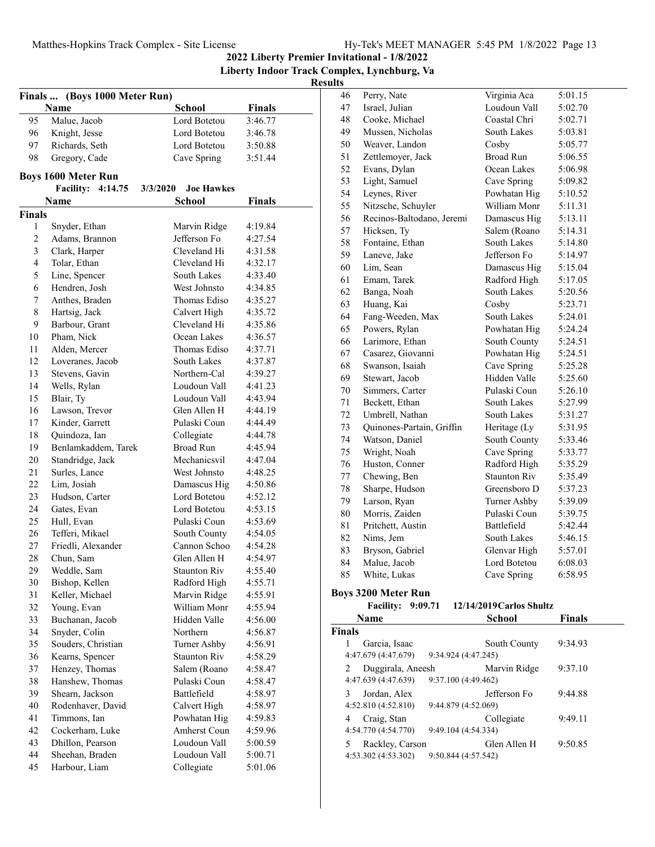## **2022 Liberty Premier Invitational - 1/8/2022 Liberty Indoor Track Complex, Lynchburg, Va**

#### **Results**

| Finals  (Boys 1000 Meter Run) |                                 |                               |                    |
|-------------------------------|---------------------------------|-------------------------------|--------------------|
|                               | Name                            | <b>School</b>                 | <b>Finals</b>      |
| 95                            | Malue, Jacob                    | Lord Botetou                  | 3:46.77            |
| 96                            | Knight, Jesse                   | Lord Botetou                  | 3:46.78            |
| 97                            | Richards, Seth                  | Lord Botetou                  | 3:50.88            |
| 98                            | Gregory, Cade                   | Cave Spring                   | 3:51.44            |
|                               |                                 |                               |                    |
|                               | <b>Boys 1600 Meter Run</b>      |                               |                    |
|                               | <b>Facility:</b><br>4:14.75     | <b>Joe Hawkes</b><br>3/3/2020 |                    |
|                               | Name                            | <b>School</b>                 | <b>Finals</b>      |
| <b>Finals</b>                 |                                 |                               |                    |
| 1                             | Snyder, Ethan                   | Marvin Ridge                  | 4:19.84            |
| 2                             | Adams, Brannon                  | Jefferson Fo                  | 4:27.54            |
| 3                             | Clark, Harper                   | Cleveland Hi<br>Cleveland Hi  | 4:31.58            |
| 4                             | Tolar, Ethan                    |                               | 4:32.17            |
| 5<br>6                        | Line, Spencer<br>Hendren, Josh  | South Lakes<br>West Johnsto   | 4:33.40<br>4:34.85 |
| 7                             | Anthes, Braden                  | Thomas Ediso                  | 4:35.27            |
| 8                             |                                 |                               | 4:35.72            |
| 9                             | Hartsig, Jack<br>Barbour, Grant | Calvert High<br>Cleveland Hi  | 4:35.86            |
| 10                            | Pham, Nick                      | Ocean Lakes                   | 4:36.57            |
| 11                            | Alden, Mercer                   | Thomas Ediso                  | 4:37.71            |
| 12                            | Loveranes, Jacob                | South Lakes                   | 4:37.87            |
| 13                            | Stevens, Gavin                  | Northern-Cal                  | 4:39.27            |
| 14                            | Wells, Rylan                    | Loudoun Vall                  | 4:41.23            |
| 15                            | Blair, Ty                       | Loudoun Vall                  | 4:43.94            |
| 16                            | Lawson, Trevor                  | Glen Allen H                  | 4:44.19            |
| 17                            | Kinder, Garrett                 | Pulaski Coun                  | 4:44.49            |
| 18                            | Quindoza, Ian                   | Collegiate                    | 4:44.78            |
| 19                            | Benlamkaddem, Tarek             | <b>Broad Run</b>              | 4:45.94            |
| 20                            | Standridge, Jack                | Mechanicsvil                  | 4:47.04            |
| 21                            | Surles, Lance                   | West Johnsto                  | 4:48.25            |
| 22                            | Lim, Josiah                     | Damascus Hig                  | 4:50.86            |
| 23                            | Hudson, Carter                  | Lord Botetou                  | 4:52.12            |
| 24                            | Gates, Evan                     | Lord Botetou                  | 4:53.15            |
| 25                            | Hull, Evan                      | Pulaski Coun                  | 4:53.69            |
| 26                            | Tefferi, Mikael                 | South County                  | 4:54.05            |
| 27                            | Friedli, Alexander              | Cannon Schoo                  | 4:54.28            |
| 28                            | Chun, Sam                       | Glen Allen H                  | 4:54.97            |
| 29                            | Weddle, Sam                     | <b>Staunton Riv</b>           | 4:55.40            |
| 30                            | Bishop, Kellen                  | Radford High                  | 4:55.71            |
| 31                            | Keller, Michael                 | Marvin Ridge                  | 4:55.91            |
| 32                            | Young, Evan                     | William Monr                  | 4:55.94            |
| 33                            | Buchanan, Jacob                 | Hidden Valle                  | 4:56.00            |
| 34                            | Snyder, Colin                   | Northern                      | 4:56.87            |
| 35                            | Souders, Christian              | Turner Ashby                  | 4:56.91            |
| 36                            | Kearns, Spencer                 | <b>Staunton Riv</b>           | 4:58.29            |
| 37                            | Henzey, Thomas                  | Salem (Roano                  | 4:58.47            |
| 38                            | Hanshew, Thomas                 | Pulaski Coun                  | 4:58.47            |
| 39                            | Shearn, Jackson                 | Battlefield                   | 4:58.97            |
| 40                            | Rodenhaver, David               | Calvert High                  | 4:58.97            |
| 41                            | Timmons, Ian                    | Powhatan Hig                  | 4:59.83            |
| 42                            | Cockerham, Luke                 | Amherst Coun                  | 4:59.96            |
| 43                            | Dhillon, Pearson                | Loudoun Vall                  | 5:00.59            |
| 44                            | Sheehan, Braden                 | Loudoun Vall                  | 5:00.71            |
| 45                            | Harbour, Liam                   | Collegiate                    | 5:01.06            |

| 46            | Perry, Nate                                                     | Virginia Aca             | 5:01.15       |
|---------------|-----------------------------------------------------------------|--------------------------|---------------|
| 47            | Israel, Julian                                                  | Loudoun Vall             | 5:02.70       |
| 48            | Cooke, Michael                                                  | Coastal Chri             | 5:02.71       |
| 49            | Mussen, Nicholas                                                | South Lakes              | 5:03.81       |
| 50            | Weaver, Landon                                                  | Cosby                    | 5:05.77       |
| 51            | Zettlemoyer, Jack                                               | <b>Broad Run</b>         | 5:06.55       |
| 52            | Evans, Dylan                                                    | Ocean Lakes              | 5:06.98       |
| 53            | Light, Samuel                                                   | Cave Spring              | 5:09.82       |
| 54            | Leynes, River                                                   | Powhatan Hig             | 5:10.52       |
| 55            | Nitzsche, Schuyler                                              | William Monr             | 5:11.31       |
| 56            | Recinos-Baltodano, Jeremi                                       | Damascus Hig             | 5:13.11       |
| 57            | Hicksen, Ty                                                     | Salem (Roano             | 5:14.31       |
| 58            | Fontaine, Ethan                                                 | South Lakes              | 5:14.80       |
| 59            | Laneve, Jake                                                    | Jefferson Fo             | 5:14.97       |
| 60            | Lim, Sean                                                       | Damascus Hig             | 5:15.04       |
| 61            | Emam, Tarek                                                     | Radford High             |               |
| 62            |                                                                 | South Lakes              | 5:17.05       |
|               | Banga, Noah                                                     |                          | 5:20.56       |
| 63            | Huang, Kai                                                      | Cosby                    | 5:23.71       |
| 64            | Fang-Weeden, Max                                                | South Lakes              | 5:24.01       |
| 65            | Powers, Rylan                                                   | Powhatan Hig             | 5:24.24       |
| 66            | Larimore, Ethan                                                 | South County             | 5:24.51       |
| 67            | Casarez, Giovanni                                               | Powhatan Hig             | 5:24.51       |
| 68            | Swanson, Isaiah                                                 | Cave Spring              | 5:25.28       |
| 69            | Stewart, Jacob                                                  | Hidden Valle             | 5:25.60       |
| 70            | Simmers, Carter                                                 | Pulaski Coun             | 5:26.10       |
| 71            | Beckett, Ethan                                                  | South Lakes              | 5:27.99       |
| 72            | Umbrell, Nathan                                                 | South Lakes              | 5:31.27       |
| 73            | Quinones-Partain, Griffin                                       | Heritage (Ly             | 5:31.95       |
| 74            | Watson, Daniel                                                  | South County             | 5:33.46       |
| 75            | Wright, Noah                                                    | Cave Spring              | 5:33.77       |
| 76            | Huston, Conner                                                  | Radford High             | 5:35.29       |
| 77            | Chewing, Ben                                                    | <b>Staunton Riv</b>      | 5:35.49       |
| 78            | Sharpe, Hudson                                                  | Greensboro D             | 5:37.23       |
| 79            | Larson, Ryan                                                    | Turner Ashby             | 5:39.09       |
| 80            | Morris, Zaiden                                                  | Pulaski Coun             | 5:39.75       |
| 81            | Pritchett, Austin                                               | Battlefield              | 5:42.44       |
| 82            | Nims, Jem                                                       | South Lakes              | 5:46.15       |
| 83            | Bryson, Gabriel                                                 | Glenvar High             | 5:57.01       |
| 84            | Malue, Jacob                                                    | Lord Botetou             | 6:08.03       |
| 85            | White, Lukas                                                    | Cave Spring              | 6:58.95       |
|               | <b>Boys 3200 Meter Run</b>                                      |                          |               |
|               | <b>Facility: 9:09.71</b>                                        | 12/14/2019 Carlos Shultz |               |
|               | Name                                                            | School                   | <b>Finals</b> |
| <b>Finals</b> |                                                                 |                          |               |
| 1             | Garcia, Isaac                                                   | South County             | 9:34.93       |
|               | 4:47.679 (4:47.679)<br>9:34.924 (4:47.245)                      |                          |               |
|               |                                                                 |                          |               |
| 2             | Duggirala, Aneesh<br>4:47.639 (4:47.639)<br>9:37.100 (4:49.462) | Marvin Ridge             | 9:37.10       |
|               |                                                                 |                          |               |
| 3             | Jordan, Alex                                                    | Jefferson Fo             | 9:44.88       |
|               | 4:52.810(4:52.810)<br>9:44.879 (4:52.069)                       |                          |               |
| 4             | Craig, Stan                                                     | Collegiate               | 9:49.11       |

4:54.770 (4:54.770) 9:49.104 (4:54.334)

4:53.302 (4:53.302) 9:50.844 (4:57.542)

5 Rackley, Carson Glen Allen H 9:50.85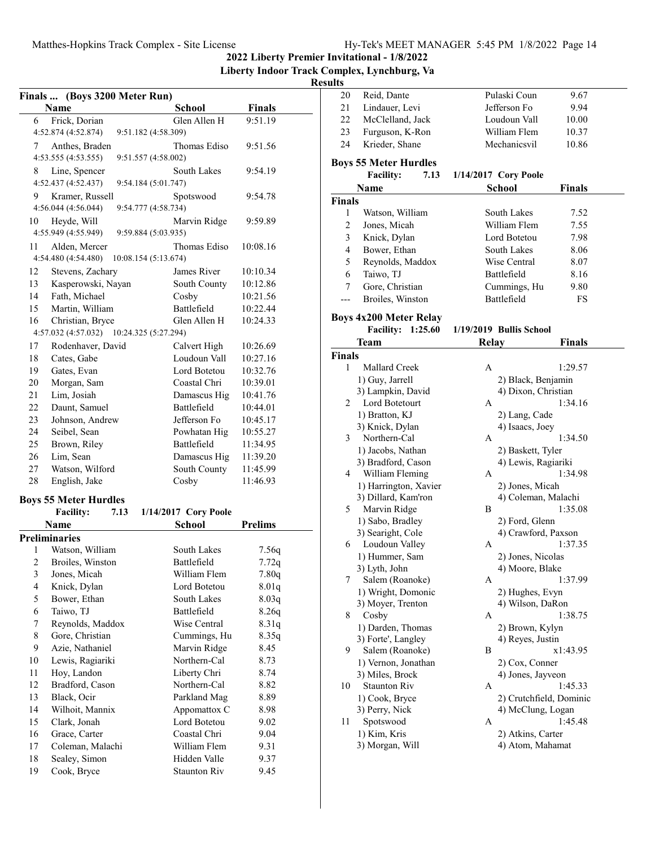**2022 Liberty Premier Invitational - 1/8/2022**

**Liberty Indoor Track Complex, Lynchburg, Va**

| Finals  (Boys 3200 Meter Run) |                              |                              |                |
|-------------------------------|------------------------------|------------------------------|----------------|
|                               | <b>Name</b>                  | School                       | <b>Finals</b>  |
| 6                             | Frick, Dorian                | Glen Allen H                 | 9:51.19        |
|                               | 4:52.874 (4:52.874)          | 9:51.182 (4:58.309)          |                |
| 7                             | Anthes, Braden               | Thomas Ediso                 | 9:51.56        |
|                               | 4:53.555 (4:53.555)          | 9:51.557 (4:58.002)          |                |
| 8                             | Line, Spencer                | South Lakes                  | 9:54.19        |
|                               | 4:52.437 (4:52.437)          | 9:54.184 (5:01.747)          |                |
| 9                             | Kramer, Russell              | Spotswood                    | 9:54.78        |
|                               | 4:56.044 (4:56.044)          | 9:54.777 (4:58.734)          |                |
| 10                            | Heyde, Will                  | Marvin Ridge                 | 9:59.89        |
|                               | 4:55.949 (4:55.949)          | 9:59.884 (5:03.935)          |                |
| 11                            | Alden, Mercer                | Thomas Ediso                 | 10:08.16       |
|                               | 4:54.480 (4:54.480)          | 10:08.154 (5:13.674)         |                |
|                               |                              | James River                  |                |
| 12                            | Stevens, Zachary             |                              | 10:10.34       |
| 13                            | Kasperowski, Nayan           | South County                 | 10:12.86       |
| 14                            | Fath, Michael                | Cosby                        | 10:21.56       |
| 15                            | Martin, William              | <b>Battlefield</b>           | 10:22.44       |
| 16                            | Christian, Bryce             | Glen Allen H                 | 10:24.33       |
|                               | 4:57.032 (4:57.032)          | 10:24.325 (5:27.294)         |                |
| 17                            | Rodenhaver, David            | Calvert High                 | 10:26.69       |
| 18                            | Cates, Gabe                  | Loudoun Vall                 | 10:27.16       |
| 19                            | Gates, Evan                  | Lord Botetou                 | 10:32.76       |
| 20                            | Morgan, Sam                  | Coastal Chri                 | 10:39.01       |
| 21                            | Lim, Josiah                  | Damascus Hig                 | 10:41.76       |
| 22                            | Daunt, Samuel                | Battlefield                  | 10:44.01       |
| 23                            | Johnson, Andrew              | Jefferson Fo                 | 10:45.17       |
| 24                            | Seibel, Sean                 | Powhatan Hig                 | 10:55.27       |
| 25                            | Brown, Riley                 | Battlefield                  | 11:34.95       |
| 26                            | Lim, Sean                    | Damascus Hig                 | 11:39.20       |
| 27                            | Watson, Wilford              | South County                 | 11:45.99       |
| 28                            | English, Jake                | Cosby                        | 11:46.93       |
|                               | <b>Boys 55 Meter Hurdles</b> |                              |                |
|                               | <b>Facility:</b>             | 1/14/2017 Cory Poole<br>7.13 |                |
|                               | <b>Name</b>                  | School                       | <b>Prelims</b> |
|                               | <b>Preliminaries</b>         |                              |                |
| 1                             | Watson, William              | South Lakes                  | 7.56q          |
| $\overline{2}$                | Broiles, Winston             | Battlefield                  | 7.72q          |
| 3                             | Jones, Micah                 | William Flem                 | 7.80q          |
| $\overline{4}$                | Knick, Dylan                 | Lord Botetou                 | 8.01q          |
| 5                             | Bower, Ethan                 | South Lakes                  | 8.03q          |
| 6                             | Taiwo, TJ                    | Battlefield                  | 8.26q          |
| 7                             | Reynolds, Maddox             | Wise Central                 | 8.31q          |
| 8                             | Gore, Christian              | Cummings, Hu                 | 8.35q          |
| 9                             | Azie, Nathaniel              | Marvin Ridge                 | 8.45           |
| 10                            | Lewis, Ragiariki             | Northern-Cal                 | 8.73           |
| 11                            | Hoy, Landon                  | Liberty Chri                 | 8.74           |
| 12                            |                              | Northern-Cal                 |                |
| 13                            | Bradford, Cason              |                              | 8.82           |
|                               | Black, Ocir                  | Parkland Mag                 | 8.89           |
| 14                            | Wilhoit, Mannix              | Appomattox C<br>Lord Botetou | 8.98           |
| 15                            | Clark, Jonah                 |                              | 9.02           |
| 16                            | Grace, Carter                | Coastal Chri                 | 9.04           |
| 17                            | Coleman, Malachi             | William Flem                 | 9.31           |
| 18                            | Sealey, Simon                | Hidden Valle                 | 9.37           |
| 19                            | Cook, Bryce                  | <b>Staunton Riv</b>          | 9.45           |

| ults           |                               |                         |               |  |
|----------------|-------------------------------|-------------------------|---------------|--|
| 20             | Reid, Dante                   | Pulaski Coun            | 9.67          |  |
| 21             | Lindauer, Levi                | Jefferson Fo            | 9.94          |  |
| 22             | McClelland, Jack              | Loudoun Vall            | 10.00         |  |
| 23             | Furguson, K-Ron               | William Flem            | 10.37         |  |
| 24             | Krieder, Shane                | Mechanicsvil            | 10.86         |  |
|                | <b>Boys 55 Meter Hurdles</b>  |                         |               |  |
|                | <b>Facility:</b><br>7.13      | 1/14/2017 Cory Poole    |               |  |
|                | <b>Name</b>                   | <b>School</b>           | <b>Finals</b> |  |
| <b>Finals</b>  |                               |                         |               |  |
| 1              | Watson, William               | South Lakes             | 7.52          |  |
| $\overline{2}$ | Jones, Micah                  | William Flem            | 7.55          |  |
| $\mathfrak{Z}$ | Knick, Dylan                  | Lord Botetou            | 7.98          |  |
| $\overline{4}$ | Bower, Ethan                  | South Lakes             | 8.06          |  |
| 5              | Reynolds, Maddox              | Wise Central            | 8.07          |  |
| 6              | Taiwo, TJ                     | Battlefield             | 8.16          |  |
| 7              | Gore, Christian               | Cummings, Hu            | 9.80          |  |
|                |                               | <b>Battlefield</b>      |               |  |
| ---            | Broiles, Winston              |                         | FS            |  |
|                | <b>Boys 4x200 Meter Relay</b> |                         |               |  |
|                | <b>Facility: 1:25.60</b>      | 1/19/2019 Bullis School |               |  |
|                | Team                          | Relay                   | Finals        |  |
| <b>Finals</b>  |                               |                         |               |  |
| 1              | <b>Mallard Creek</b>          | A                       | 1:29.57       |  |
|                | 1) Guy, Jarrell               | 2) Black, Benjamin      |               |  |
|                | 3) Lampkin, David             | 4) Dixon, Christian     |               |  |
| 2              | Lord Botetourt                | A                       | 1:34.16       |  |
|                | 1) Bratton, KJ                | 2) Lang, Cade           |               |  |
|                | 3) Knick, Dylan               | 4) Isaacs, Joey         |               |  |
| 3              | Northern-Cal                  | A                       | 1:34.50       |  |
|                | 1) Jacobs, Nathan             | 2) Baskett, Tyler       |               |  |
|                | 3) Bradford, Cason            | 4) Lewis, Ragiariki     |               |  |
| 4              | William Fleming               | A                       | 1:34.98       |  |
|                | 1) Harrington, Xavier         | 2) Jones, Micah         |               |  |
|                | 3) Dillard, Kam'ron           | 4) Coleman, Malachi     |               |  |
| 5              | Marvin Ridge                  | В                       | 1:35.08       |  |
|                | 1) Sabo, Bradley              | 2) Ford, Glenn          |               |  |
|                | 3) Searight, Cole             | 4) Crawford, Paxson     |               |  |
| 6              | Loudoun Valley                | А                       | 1:37.35       |  |
|                | 1) Hummer, Sam                | 2) Jones, Nicolas       |               |  |
|                | 3) Lyth, John                 | 4) Moore, Blake         |               |  |
| 7              | Salem (Roanoke)               | Α                       | 1:37.99       |  |
|                | 1) Wright, Domonic            | 2) Hughes, Evyn         |               |  |
|                | 3) Moyer, Trenton             | 4) Wilson, DaRon        |               |  |
| 8              | Cosby                         | Α                       | 1:38.75       |  |
|                | 1) Darden, Thomas             | 2) Brown, Kylyn         |               |  |
|                | 3) Forte', Langley            | 4) Reyes, Justin        |               |  |
| 9              | Salem (Roanoke)               | В                       | x1:43.95      |  |
|                | 1) Vernon, Jonathan           | 2) Cox, Conner          |               |  |
|                | 3) Miles, Brock               | 4) Jones, Jayveon       |               |  |
| 10             | <b>Staunton Riv</b>           | А                       | 1:45.33       |  |
|                | 1) Cook, Bryce                | 2) Crutchfield, Dominic |               |  |
|                | 3) Perry, Nick                | 4) McClung, Logan       |               |  |
| 11             | Spotswood                     | А                       | 1:45.48       |  |
|                | 1) Kim, Kris                  | 2) Atkins, Carter       |               |  |
|                | 3) Morgan, Will               | 4) Atom, Mahamat        |               |  |
|                |                               |                         |               |  |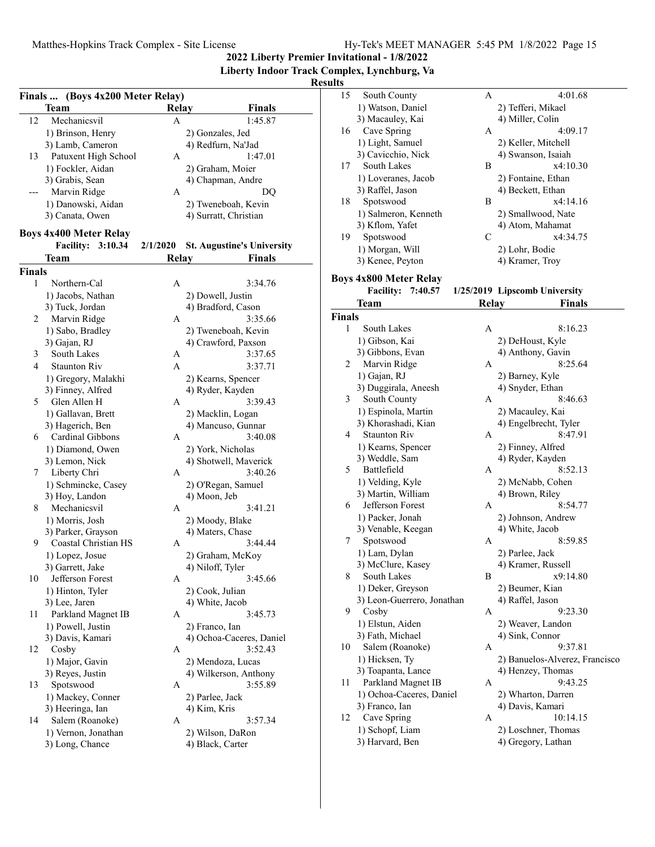**2022 Liberty Premier Invitational - 1/8/2022**

**Liberty Indoor Track Complex, Lynchburg, Va**

| Finals  (Boys 4x200 Meter Relay) |                               |          |                                   |
|----------------------------------|-------------------------------|----------|-----------------------------------|
|                                  | <b>Team</b>                   | Relay    | <b>Finals</b>                     |
| 12                               | Mechanicsvil                  | A        | 1:45.87                           |
|                                  | 1) Brinson, Henry             |          | 2) Gonzales, Jed                  |
|                                  | 3) Lamb, Cameron              |          | 4) Redfurn, Na'Jad                |
| 13                               | Patuxent High School          | А        | 1:47.01                           |
|                                  | 1) Fockler, Aidan             |          | 2) Graham, Moier                  |
|                                  | 3) Grabis, Sean               |          | 4) Chapman, Andre                 |
| ---                              | Marvin Ridge                  | А        | DQ                                |
|                                  | 1) Danowski, Aidan            |          | 2) Tweneboah, Kevin               |
|                                  | 3) Canata, Owen               |          | 4) Surratt, Christian             |
|                                  |                               |          |                                   |
|                                  | <b>Boys 4x400 Meter Relay</b> | 2/1/2020 |                                   |
|                                  | <b>Facility:</b><br>3:10.34   |          | <b>St. Augustine's University</b> |
|                                  | Team                          | Relay    | Finals                            |
| <b>Finals</b>                    |                               |          |                                   |
| 1                                | Northern-Cal                  | Α        | 3:34.76                           |
|                                  | 1) Jacobs, Nathan             |          | 2) Dowell, Justin                 |
|                                  | 3) Tuck, Jordan               |          | 4) Bradford, Cason                |
| 2                                | Marvin Ridge                  | А        | 3:35.66                           |
|                                  | 1) Sabo, Bradley              |          | 2) Tweneboah, Kevin               |
|                                  | 3) Gajan, RJ                  |          | 4) Crawford, Paxson               |
| 3                                | South Lakes                   | А        | 3:37.65                           |
| 4                                | <b>Staunton Riv</b>           | A        | 3:37.71                           |
|                                  | 1) Gregory, Malakhi           |          | 2) Kearns, Spencer                |
|                                  | 3) Finney, Alfred             |          | 4) Ryder, Kayden                  |
| 5                                | Glen Allen H                  | А        | 3:39.43                           |
|                                  | 1) Gallavan, Brett            |          | 2) Macklin, Logan                 |
|                                  | 3) Hagerich, Ben              |          | 4) Mancuso, Gunnar                |
| 6                                | Cardinal Gibbons              | А        | 3:40.08                           |
|                                  | 1) Diamond, Owen              |          | 2) York, Nicholas                 |
|                                  | 3) Lemon, Nick                |          | 4) Shotwell, Maverick             |
| 7                                | Liberty Chri                  | А        | 3:40.26                           |
|                                  | 1) Schmincke, Casey           |          | 2) O'Regan, Samuel                |
|                                  | 3) Hoy, Landon                |          | 4) Moon, Jeb                      |
| 8                                | Mechanicsvil                  | А        | 3:41.21                           |
|                                  | 1) Morris, Josh               |          | 2) Moody, Blake                   |
|                                  | 3) Parker, Grayson            |          | 4) Maters, Chase                  |
| 9                                | Coastal Christian HS          | А        | 3:44.44                           |
|                                  | 1) Lopez, Josue               |          | 2) Graham, McKoy                  |
|                                  | 3) Garrett, Jake              |          | 4) Niloff, Tyler                  |
| 10                               | Jefferson Forest              | Α        | 3:45.66                           |
|                                  | 1) Hinton, Tyler              |          | 2) Cook, Julian                   |
|                                  | 3) Lee, Jaren                 |          | 4) White, Jacob                   |
| 11                               | Parkland Magnet IB            | А        | 3:45.73                           |
|                                  | 1) Powell, Justin             |          | 2) Franco, Ian                    |
|                                  | 3) Davis, Kamari              |          | 4) Ochoa-Caceres, Daniel          |
| 12                               | Cosby                         | А        | 3:52.43                           |
|                                  | 1) Major, Gavin               |          | 2) Mendoza, Lucas                 |
|                                  | 3) Reyes, Justin              |          | 4) Wilkerson, Anthony             |
| 13                               | Spotswood                     | А        | 3:55.89                           |
|                                  | 1) Mackey, Conner             |          | 2) Parlee, Jack                   |
|                                  | 3) Heeringa, Ian              |          | 4) Kim, Kris                      |
| 14                               | Salem (Roanoke)               | А        | 3:57.34                           |
|                                  |                               |          |                                   |
|                                  | 1) Vernon, Jonathan           |          | 2) Wilson, DaRon                  |
|                                  | 3) Long, Chance               |          | 4) Black, Carter                  |
|                                  |                               |          |                                   |

| ults          |                               |       |                                |  |
|---------------|-------------------------------|-------|--------------------------------|--|
| 15            | South County                  | A     | 4:01.68                        |  |
|               | 1) Watson, Daniel             |       | 2) Tefferi, Mikael             |  |
|               | 3) Macauley, Kai              |       | 4) Miller, Colin               |  |
| 16            | Cave Spring                   | А     | 4:09.17                        |  |
|               | 1) Light, Samuel              |       | 2) Keller, Mitchell            |  |
|               | 3) Cavicchio, Nick            |       | 4) Swanson, Isaiah             |  |
| 17            | South Lakes                   | В     | x4:10.30                       |  |
|               | 1) Loveranes, Jacob           |       | 2) Fontaine, Ethan             |  |
|               | 3) Raffel, Jason              |       | 4) Beckett, Ethan              |  |
| 18            | Spotswood                     | В     | x4:14.16                       |  |
|               | 1) Salmeron, Kenneth          |       | 2) Smallwood, Nate             |  |
|               | 3) Kflom, Yafet               |       | 4) Atom, Mahamat               |  |
| 19            | Spotswood                     | C     | x4:34.75                       |  |
|               | 1) Morgan, Will               |       | 2) Lohr, Bodie                 |  |
|               | 3) Kenee, Peyton              |       | 4) Kramer, Troy                |  |
|               | <b>Boys 4x800 Meter Relay</b> |       |                                |  |
|               | <b>Facility:</b><br>7:40.57   |       | 1/25/2019 Lipscomb University  |  |
|               | Team                          | Relay | Finals                         |  |
| <b>Finals</b> |                               |       |                                |  |
| 1             | South Lakes                   | А     | 8:16.23                        |  |
|               | 1) Gibson, Kai                |       | 2) DeHoust, Kyle               |  |
|               | 3) Gibbons, Evan              |       | 4) Anthony, Gavin              |  |
| 2             | Marvin Ridge                  | А     | 8:25.64                        |  |
|               | 1) Gajan, RJ                  |       | 2) Barney, Kyle                |  |
|               | 3) Duggirala, Aneesh          |       | 4) Snyder, Ethan               |  |
| 3             | South County                  | A     | 8:46.63                        |  |
|               | 1) Espinola, Martin           |       | 2) Macauley, Kai               |  |
|               | 3) Khorashadi, Kian           |       | 4) Engelbrecht, Tyler          |  |
| 4             | <b>Staunton Riv</b>           | A     | 8:47.91                        |  |
|               | 1) Kearns, Spencer            |       | 2) Finney, Alfred              |  |
|               | 3) Weddle, Sam                |       | 4) Ryder, Kayden               |  |
| 5             | Battlefield                   | A     | 8:52.13                        |  |
|               | 1) Velding, Kyle              |       | 2) McNabb, Cohen               |  |
|               | 3) Martin, William            |       | 4) Brown, Riley                |  |
| 6             | Jefferson Forest              | А     | 8:54.77                        |  |
|               | 1) Packer, Jonah              |       | 2) Johnson, Andrew             |  |
|               | 3) Venable, Keegan            |       | 4) White, Jacob                |  |
| 7             | Spotswood                     | А     | 8:59.85                        |  |
|               | 1) Lam, Dylan                 |       | 2) Parlee, Jack                |  |
|               | 3) McClure, Kasey             |       | 4) Kramer, Russell             |  |
| 8             | <b>South Lakes</b>            | В     | x9:14.80                       |  |
|               | 1) Deker, Greyson             |       | 2) Beumer, Kian                |  |
|               | 3) Leon-Guerrero, Jonathan    |       | 4) Raffel, Jason               |  |
| 9             | Cosby                         | А     | 9:23.30                        |  |
|               | 1) Elstun, Aiden              |       | 2) Weaver, Landon              |  |
|               | 3) Fath, Michael              |       | 4) Sink, Connor                |  |
| 10            | Salem (Roanoke)               | А     | 9:37.81                        |  |
|               | 1) Hicksen, Ty                |       | 2) Banuelos-Alverez, Francisco |  |
|               | 3) Toapanta, Lance            |       | 4) Henzey, Thomas              |  |
| 11            | Parkland Magnet IB            | A     | 9:43.25                        |  |
|               | 1) Ochoa-Caceres, Daniel      |       | 2) Wharton, Darren             |  |
|               | 3) Franco, Ian                |       | 4) Davis, Kamari               |  |
| 12            | Cave Spring                   | А     | 10:14.15                       |  |
|               | 1) Schopf, Liam               |       | 2) Loschner, Thomas            |  |
|               | 3) Harvard, Ben               |       | 4) Gregory, Lathan             |  |
|               |                               |       |                                |  |
|               |                               |       |                                |  |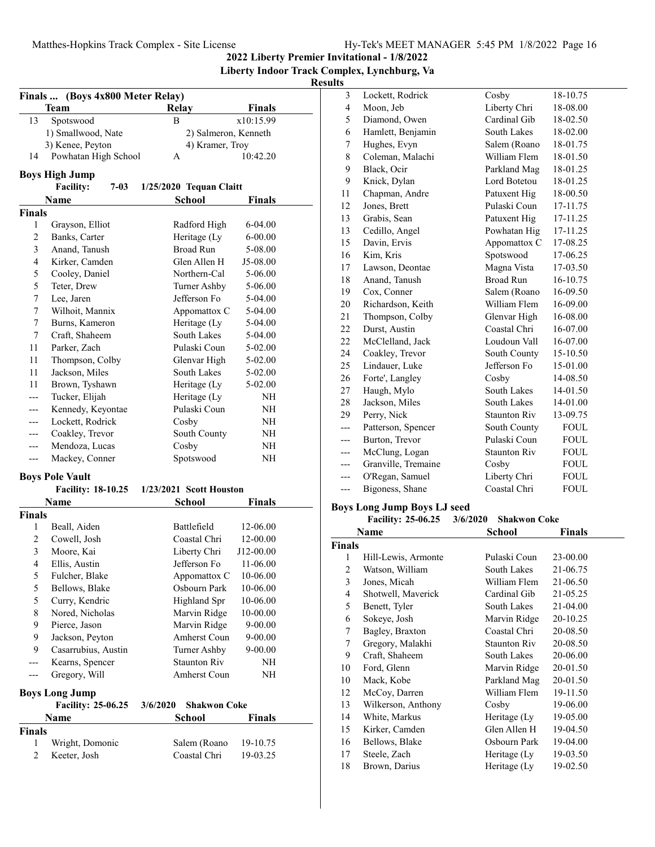**2022 Liberty Premier Invitational - 1/8/2022**

## **Liberty Indoor Track Complex, Lynchburg, Va Results**

|                | Finals  (Boys 4x800 Meter Relay)         |                                 |               |
|----------------|------------------------------------------|---------------------------------|---------------|
|                | Team                                     | <b>Relay</b>                    | <b>Finals</b> |
| 13             | Spotswood                                | B                               | x10:15.99     |
|                | 1) Smallwood, Nate                       | 2) Salmeron, Kenneth            |               |
|                | 3) Kenee, Peyton                         | 4) Kramer, Troy                 |               |
| 14             | Powhatan High School                     | А                               | 10:42.20      |
|                |                                          |                                 |               |
|                | <b>Boys High Jump</b>                    |                                 |               |
|                | <b>Facility:</b><br>$7 - 03$             | 1/25/2020 Tequan Claitt         |               |
|                | Name                                     | <b>School</b>                   | <b>Finals</b> |
| <b>Finals</b>  |                                          |                                 |               |
| 1              | Grayson, Elliot                          | Radford High                    | 6-04.00       |
| $\overline{2}$ | Banks, Carter                            | Heritage (Ly                    | $6 - 00.00$   |
| 3              | Anand, Tanush                            | <b>Broad Run</b>                | 5-08.00       |
| 4              | Kirker, Camden                           | Glen Allen H                    | J5-08.00      |
| 5              | Cooley, Daniel                           | Northern-Cal                    | 5-06.00       |
| 5              | Teter, Drew                              | Turner Ashby                    | 5-06.00       |
| 7              | Lee, Jaren                               | Jefferson Fo                    | 5-04.00       |
| 7              | Wilhoit, Mannix                          | Appomattox C                    | 5-04.00       |
| 7              | Burns, Kameron                           | Heritage (Ly                    | 5-04.00       |
| 7              | Craft, Shaheem                           | South Lakes                     | 5-04.00       |
| 11             | Parker, Zach                             | Pulaski Coun                    | 5-02.00       |
| 11             | Thompson, Colby                          | Glenvar High                    | 5-02.00       |
| 11             | Jackson, Miles                           | South Lakes                     | 5-02.00       |
| 11             | Brown, Tyshawn                           | Heritage (Ly                    | 5-02.00       |
|                | Tucker, Elijah                           | Heritage (Ly                    | NΗ            |
|                | Kennedy, Keyontae                        | Pulaski Coun                    | NH            |
|                | Lockett, Rodrick                         | Cosby                           | NH            |
| ---            | Coakley, Trevor                          | South County                    | NH            |
|                | Mendoza, Lucas                           | Cosby                           | NH            |
| ---            | Mackey, Conner                           | Spotswood                       | NH            |
|                |                                          |                                 |               |
|                | <b>Boys Pole Vault</b>                   | 1/23/2021 Scott Houston         |               |
|                | <b>Facility: 18-10.25</b><br><b>Name</b> | <b>School</b>                   | Finals        |
| Finals         |                                          |                                 |               |
| 1              |                                          | Battlefield                     | 12-06.00      |
| 2              | Beall, Aiden<br>Cowell, Josh             | Coastal Chri                    | 12-00.00      |
| 3              | Moore, Kai                               | Liberty Chri                    | J12-00.00     |
| 4              | Ellis, Austin                            | Jefferson Fo                    | 11-06.00      |
| 5              | Fulcher, Blake                           | Appomattox C                    | 10-06.00      |
| 5              | Bellows, Blake                           | Osbourn Park                    | 10-06.00      |
| 5              |                                          | <b>Highland Spr</b>             |               |
| 8              | Curry, Kendric<br>Nored, Nicholas        | Marvin Ridge                    | 10-06.00      |
|                |                                          |                                 | 10-00.00      |
| 9              | Pierce, Jason                            | Marvin Ridge                    | $9 - 00.00$   |
| 9              | Jackson, Peyton                          | Amherst Coun                    | $9 - 00.00$   |
| 9              | Casarrubius, Austin                      | Turner Ashby                    | $9 - 00.00$   |
| ---            | Kearns, Spencer                          | <b>Staunton Riv</b>             | NΗ            |
| ---            | Gregory, Will                            | Amherst Coun                    | NH            |
|                | <b>Boys Long Jump</b>                    |                                 |               |
|                | Facility: 25-06.25                       | <b>Shakwon Coke</b><br>3/6/2020 |               |
|                | Name                                     | <b>School</b>                   | Finals        |
| <b>Finals</b>  |                                          |                                 |               |
| 1              | Wright, Domonic                          | Salem (Roano                    | 19-10.75      |
| 2              | Keeter, Josh                             | Coastal Chri                    | 19-03.25      |
|                |                                          |                                 |               |

| יי             |                             |                     |             |
|----------------|-----------------------------|---------------------|-------------|
| 3              | Lockett, Rodrick            | Cosby               | 18-10.75    |
| $\overline{4}$ | Moon, Jeb                   | Liberty Chri        | 18-08.00    |
| 5              | Diamond, Owen               | Cardinal Gib        | 18-02.50    |
| 6              | Hamlett, Benjamin           | South Lakes         | 18-02.00    |
| 7              | Hughes, Evyn                | Salem (Roano        | 18-01.75    |
| 8              | Coleman, Malachi            | William Flem        | 18-01.50    |
| 9              | Black, Ocir                 | Parkland Mag        | 18-01.25    |
| 9              | Knick, Dylan                | Lord Botetou        | 18-01.25    |
| 11             | Chapman, Andre              | Patuxent Hig        | 18-00.50    |
| 12             | Jones, Brett                | Pulaski Coun        | 17-11.75    |
| 13             | Grabis, Sean                | Patuxent Hig        | 17-11.25    |
| 13             | Cedillo, Angel              | Powhatan Hig        | 17-11.25    |
| 15             | Davin, Ervis                | Appomattox C        | 17-08.25    |
| 16             | Kim, Kris                   | Spotswood           | 17-06.25    |
| 17             | Lawson, Deontae             | Magna Vista         | 17-03.50    |
| 18             | Anand, Tanush               | <b>Broad Run</b>    | 16-10.75    |
| 19             | Cox, Conner                 | Salem (Roano        | 16-09.50    |
| 20             | Richardson, Keith           | William Flem        | 16-09.00    |
| 21             | Thompson, Colby             | Glenvar High        | 16-08.00    |
| 22             | Durst, Austin               | Coastal Chri        | 16-07.00    |
| 22             | McClelland, Jack            | Loudoun Vall        | 16-07.00    |
| 24             | Coakley, Trevor             | South County        | 15-10.50    |
| 25             | Lindauer, Luke              | Jefferson Fo        | 15-01.00    |
| 26             | Forte', Langley             | Cosby               | 14-08.50    |
| 27             | Haugh, Mylo                 | South Lakes         | 14-01.50    |
| 28             | Jackson, Miles              | South Lakes         | 14-01.00    |
| 29             | Perry, Nick                 | <b>Staunton Riv</b> | 13-09.75    |
|                | Patterson, Spencer          | South County        | <b>FOUL</b> |
|                | Burton, Trevor              | Pulaski Coun        | <b>FOUL</b> |
|                | McClung, Logan              | <b>Staunton Riv</b> | <b>FOUL</b> |
| ---            | Granville, Tremaine         | Cosby               | <b>FOUL</b> |
| ---            | O'Regan, Samuel             | Liberty Chri        | <b>FOUL</b> |
| ---            | Bigoness, Shane             | Coastal Chri        | <b>FOUL</b> |
|                | $\mathbf{r}$ n $\mathbf{r}$ |                     |             |

#### **Boys Long Jump Boys LJ seed**

| 3/6/2020 Shakwon Coke<br><b>Facility: 25-06.25</b> |  |  |  |  |  |
|----------------------------------------------------|--|--|--|--|--|
|----------------------------------------------------|--|--|--|--|--|

| Name   |                     | School       | Finals   |  |
|--------|---------------------|--------------|----------|--|
| Finals |                     |              |          |  |
| 1      | Hill-Lewis, Armonte | Pulaski Coun | 23-00.00 |  |
| 2      | Watson, William     | South Lakes  | 21-06.75 |  |
| 3      | Jones, Micah        | William Flem | 21-06.50 |  |
| 4      | Shotwell, Maverick  | Cardinal Gib | 21-05.25 |  |
| 5      | Benett, Tyler       | South Lakes  | 21-04.00 |  |
| 6      | Sokeye, Josh        | Marvin Ridge | 20-10.25 |  |
| 7      | Bagley, Braxton     | Coastal Chri | 20-08.50 |  |
| 7      | Gregory, Malakhi    | Staunton Riv | 20-08.50 |  |
| 9      | Craft, Shaheem      | South Lakes  | 20-06.00 |  |
| 10     | Ford, Glenn         | Marvin Ridge | 20-01.50 |  |
| 10     | Mack, Kobe          | Parkland Mag | 20-01.50 |  |
| 12     | McCoy, Darren       | William Flem | 19-11.50 |  |
| 13     | Wilkerson, Anthony  | Cosby        | 19-06.00 |  |
| 14     | White, Markus       | Heritage (Ly | 19-05.00 |  |
| 15     | Kirker, Camden      | Glen Allen H | 19-04.50 |  |
| 16     | Bellows, Blake      | Osbourn Park | 19-04.00 |  |
| 17     | Steele, Zach        | Heritage (Ly | 19-03.50 |  |
| 18     | Brown, Darius       | Heritage (Ly | 19-02.50 |  |
|        |                     |              |          |  |